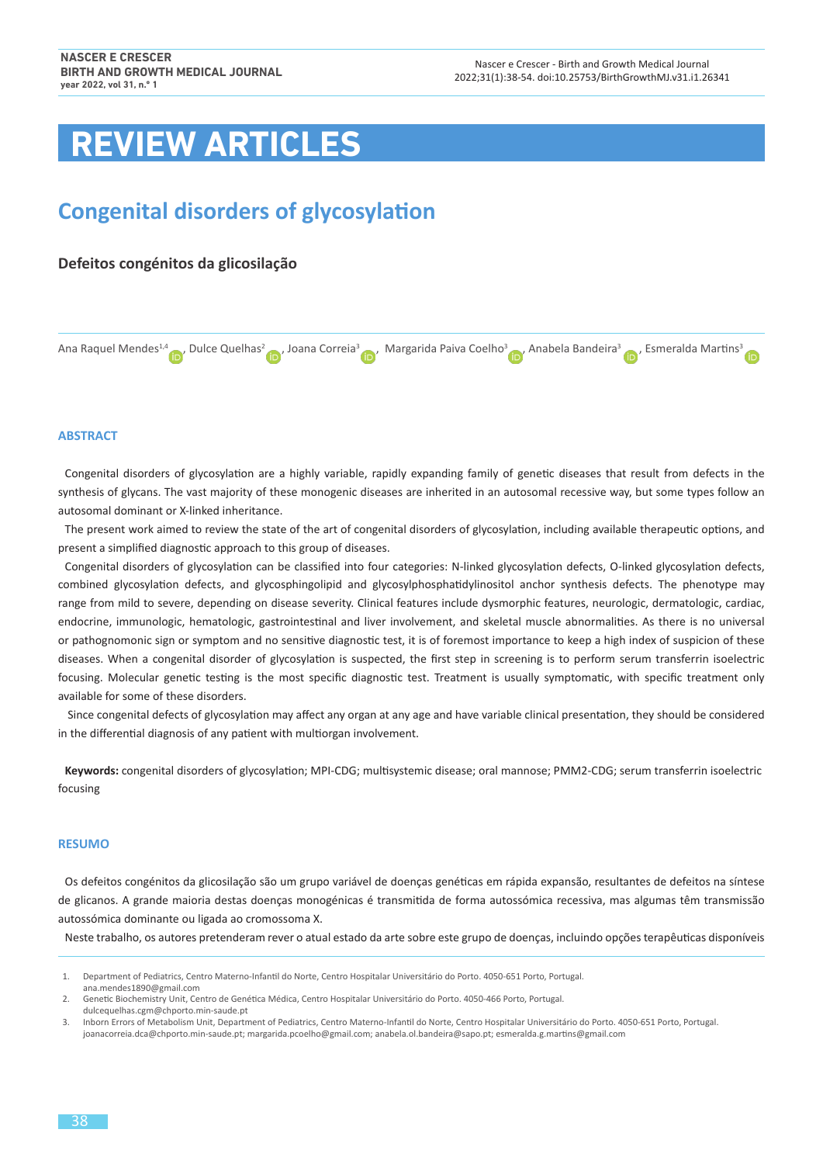# **REVIEW ARTICLES**

# **Congenital disorders of glycosylation**

# **Defeitos congénitos da glicosilação**

Ana Raquel Mendes<sup>1,4</sup> , Dulce Quelhas<sup>2</sup> , Joana Correia<sup>[3](https://orcid.org/0000-0002-9247-9391)</sup> , Margarida Paiva Coelho<sup>3</sup> , Anabela Bandeira<sup>3</sup> , Esmeralda Martins<sup>3</sup>

# **ABSTRACT**

Congenital disorders of glycosylation are a highly variable, rapidly expanding family of genetic diseases that result from defects in the synthesis of glycans. The vast majority of these monogenic diseases are inherited in an autosomal recessive way, but some types follow an autosomal dominant or X-linked inheritance.

The present work aimed to review the state of the art of congenital disorders of glycosylation, including available therapeutic options, and present a simplified diagnostic approach to this group of diseases.

Congenital disorders of glycosylation can be classified into four categories: N-linked glycosylation defects, O-linked glycosylation defects, combined glycosylation defects, and glycosphingolipid and glycosylphosphatidylinositol anchor synthesis defects. The phenotype may range from mild to severe, depending on disease severity. Clinical features include dysmorphic features, neurologic, dermatologic, cardiac, endocrine, immunologic, hematologic, gastrointestinal and liver involvement, and skeletal muscle abnormalities. As there is no universal or pathognomonic sign or symptom and no sensitive diagnostic test, it is of foremost importance to keep a high index of suspicion of these diseases. When a congenital disorder of glycosylation is suspected, the first step in screening is to perform serum transferrin isoelectric focusing. Molecular genetic testing is the most specific diagnostic test. Treatment is usually symptomatic, with specific treatment only available for some of these disorders.

 Since congenital defects of glycosylation may affect any organ at any age and have variable clinical presentation, they should be considered in the differential diagnosis of any patient with multiorgan involvement.

**Keywords:** congenital disorders of glycosylation; MPI-CDG; multisystemic disease; oral mannose; PMM2-CDG; serum transferrin isoelectric focusing

#### **RESUMO**

Os defeitos congénitos da glicosilação são um grupo variável de doenças genéticas em rápida expansão, resultantes de defeitos na síntese de glicanos. A grande maioria destas doenças monogénicas é transmitida de forma autossómica recessiva, mas algumas têm transmissão autossómica dominante ou ligada ao cromossoma X.

Neste trabalho, os autores pretenderam rever o atual estado da arte sobre este grupo de doenças, incluindo opções terapêuticas disponíveis

<sup>1.</sup> Department of Pediatrics, Centro Materno-Infantil do Norte, Centro Hospitalar Universitário do Porto. 4050-651 Porto, Portugal. [ana.mendes1890@gmail.com](mailto:ana.mendes1890@gmail.com)

<sup>2.</sup> Genetic Biochemistry Unit, Centro de Genética Médica, Centro Hospitalar Universitário do Porto. 4050-466 Porto, Portugal. [dulcequelhas.cgm@chporto.min](mailto:dulcequelhas.cgm@chporto.min)<-saude.pt>

<sup>3.</sup> Inborn Errors of Metabolism Unit, Department of Pediatrics, Centro Materno-Infantil do Norte, Centro Hospitalar Universitário do Porto. 4050-651 Porto, Portugal. [joanacorreia.dca@chporto.min-saude.pt](mailto:joanacorreia.dca@chporto.min-saude.pt); [margarida.pcoelho@gmail.com](mailto:margarida.pcoelho@gmail.com); [anabela.ol.bandeira@sapo.pt](mailto:anabela.ol.bandeira@sapo.pt); [esmeralda.g.martins@gmail.com](mailto:esmeralda.g.martins@gmail.com)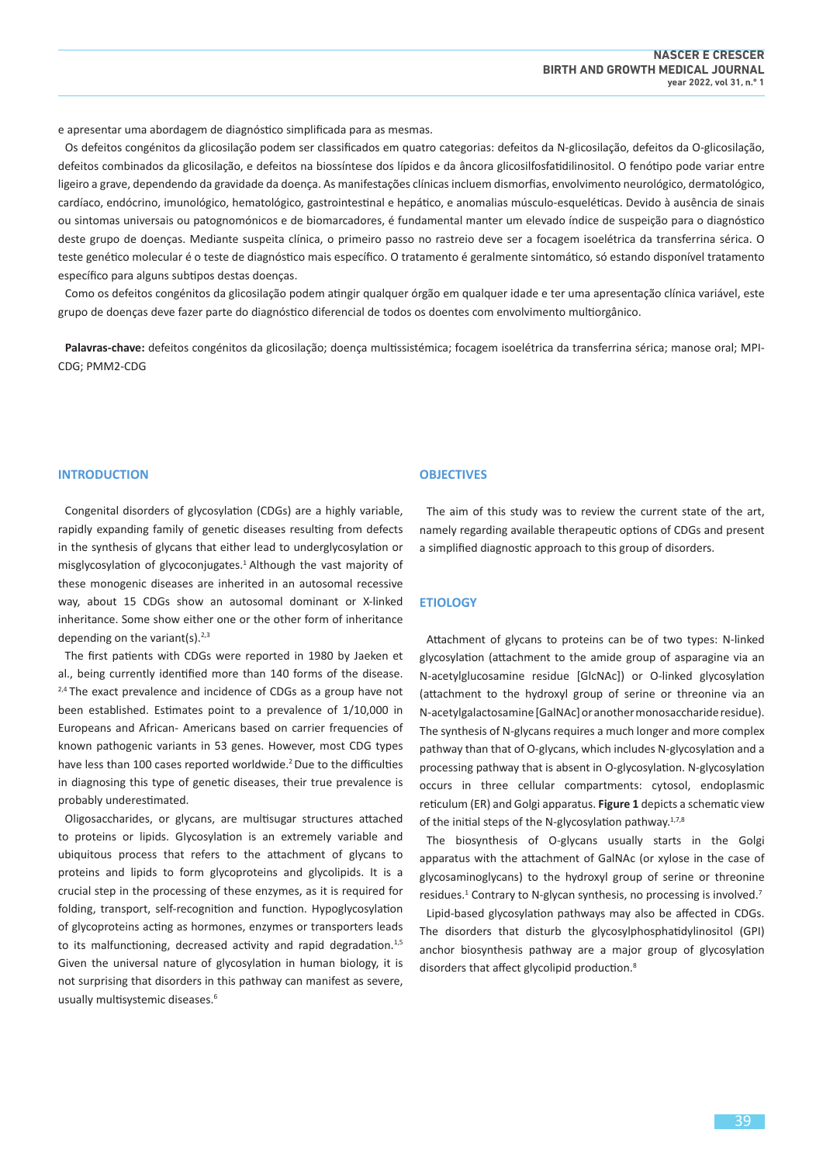e apresentar uma abordagem de diagnóstico simplificada para as mesmas.

Os defeitos congénitos da glicosilação podem ser classificados em quatro categorias: defeitos da N-glicosilação, defeitos da O-glicosilação, defeitos combinados da glicosilação, e defeitos na biossíntese dos lípidos e da âncora glicosilfosfatidilinositol. O fenótipo pode variar entre ligeiro a grave, dependendo da gravidade da doença. As manifestações clínicas incluem dismorfias, envolvimento neurológico, dermatológico, cardíaco, endócrino, imunológico, hematológico, gastrointestinal e hepático, e anomalias músculo-esqueléticas. Devido à ausência de sinais ou sintomas universais ou patognomónicos e de biomarcadores, é fundamental manter um elevado índice de suspeição para o diagnóstico deste grupo de doenças. Mediante suspeita clínica, o primeiro passo no rastreio deve ser a focagem isoelétrica da transferrina sérica. O teste genético molecular é o teste de diagnóstico mais específico. O tratamento é geralmente sintomático, só estando disponível tratamento específico para alguns subtipos destas doenças.

Como os defeitos congénitos da glicosilação podem atingir qualquer órgão em qualquer idade e ter uma apresentação clínica variável, este grupo de doenças deve fazer parte do diagnóstico diferencial de todos os doentes com envolvimento multiorgânico.

**Palavras-chave:** defeitos congénitos da glicosilação; doença multissistémica; focagem isoelétrica da transferrina sérica; manose oral; MPI-CDG; PMM2-CDG

# **INTRODUCTION**

Congenital disorders of glycosylation (CDGs) are a highly variable, rapidly expanding family of genetic diseases resulting from defects in the synthesis of glycans that either lead to underglycosylation or misglycosylation of glycoconjugates.<sup>1</sup> Although the vast majority of these monogenic diseases are inherited in an autosomal recessive way, about 15 CDGs show an autosomal dominant or X-linked inheritance. Some show either one or the other form of inheritance depending on the variant(s). $2,3$ 

The first patients with CDGs were reported in 1980 by Jaeken et al., being currently identified more than 140 forms of the disease.  $2,4$  The exact prevalence and incidence of CDGs as a group have not been established. Estimates point to a prevalence of 1/10,000 in Europeans and African- Americans based on carrier frequencies of known pathogenic variants in 53 genes. However, most CDG types have less than 100 cases reported worldwide.<sup>2</sup> Due to the difficulties in diagnosing this type of genetic diseases, their true prevalence is probably underestimated.

Oligosaccharides, or glycans, are multisugar structures attached to proteins or lipids. Glycosylation is an extremely variable and ubiquitous process that refers to the attachment of glycans to proteins and lipids to form glycoproteins and glycolipids. It is a crucial step in the processing of these enzymes, as it is required for folding, transport, self-recognition and function. Hypoglycosylation of glycoproteins acting as hormones, enzymes or transporters leads to its malfunctioning, decreased activity and rapid degradation.<sup>1,5</sup> Given the universal nature of glycosylation in human biology, it is not surprising that disorders in this pathway can manifest as severe, usually multisystemic diseases.<sup>6</sup>

# **OBJECTIVES**

The aim of this study was to review the current state of the art, namely regarding available therapeutic options of CDGs and present a simplified diagnostic approach to this group of disorders.

#### **ETIOLOGY**

Attachment of glycans to proteins can be of two types: N-linked glycosylation (attachment to the amide group of asparagine via an N-acetylglucosamine residue [GlcNAc]) or O-linked glycosylation (attachment to the hydroxyl group of serine or threonine via an N-acetylgalactosamine [GalNAc] or another monosaccharide residue). The synthesis of N-glycans requires a much longer and more complex pathway than that of O-glycans, which includes N-glycosylation and a processing pathway that is absent in O-glycosylation. N-glycosylation occurs in three cellular compartments: cytosol, endoplasmic reticulum (ER) and Golgi apparatus. **Figure 1** depicts a schematic view of the initial steps of the N-glycosylation pathway.<sup>1,7,8</sup>

The biosynthesis of O-glycans usually starts in the Golgi apparatus with the attachment of GalNAc (or xylose in the case of glycosaminoglycans) to the hydroxyl group of serine or threonine residues.<sup>1</sup> Contrary to N-glycan synthesis, no processing is involved.<sup>7</sup>

Lipid-based glycosylation pathways may also be affected in CDGs. The disorders that disturb the glycosylphosphatidylinositol (GPI) anchor biosynthesis pathway are a major group of glycosylation disorders that affect glycolipid production.<sup>8</sup>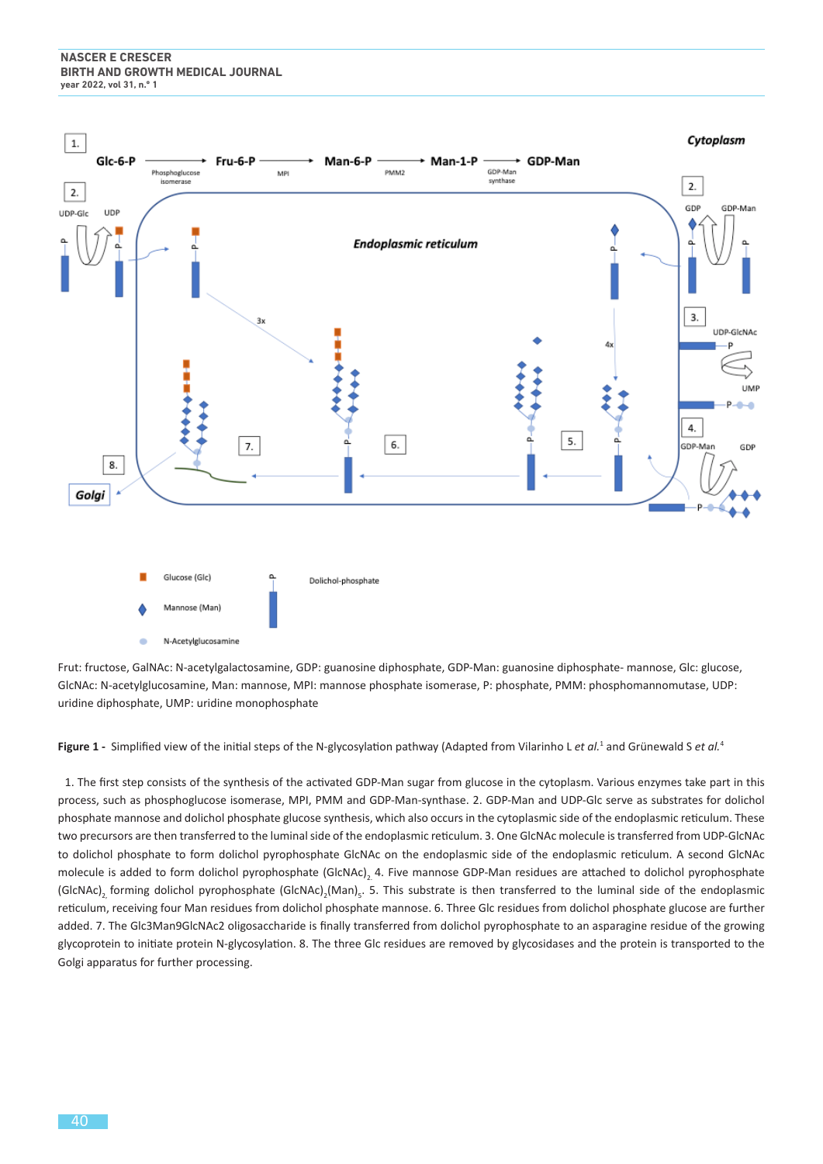

Frut: fructose, GalNAc: N-acetylgalactosamine, GDP: guanosine diphosphate, GDP-Man: guanosine diphosphate- mannose, Glc: glucose, GlcNAc: N-acetylglucosamine, Man: mannose, MPI: mannose phosphate isomerase, P: phosphate, PMM: phosphomannomutase, UDP: uridine diphosphate, UMP: uridine monophosphate

Figure 1 - Simplified view of the initial steps of the N-glycosylation pathway (Adapted from Vilarinho L *et al.<sup>1</sup>* and Grünewald S *et al.<sup>4</sup>* 

1. The first step consists of the synthesis of the activated GDP-Man sugar from glucose in the cytoplasm. Various enzymes take part in this process, such as phosphoglucose isomerase, MPI, PMM and GDP-Man-synthase. 2. GDP-Man and UDP-Glc serve as substrates for dolichol phosphate mannose and dolichol phosphate glucose synthesis, which also occurs in the cytoplasmic side of the endoplasmic reticulum. These two precursors are then transferred to the luminal side of the endoplasmic reticulum. 3. One GlcNAc molecule is transferred from UDP-GlcNAc to dolichol phosphate to form dolichol pyrophosphate GlcNAc on the endoplasmic side of the endoplasmic reticulum. A second GlcNAc molecule is added to form dolichol pyrophosphate (GlcNAc), 4. Five mannose GDP-Man residues are attached to dolichol pyrophosphate (GIcNAc)<sub>2,</sub> forming dolichol pyrophosphate (GIcNAc)<sub>2</sub>(Man)<sub>5</sub>. 5. This substrate is then transferred to the luminal side of the endoplasmic reticulum, receiving four Man residues from dolichol phosphate mannose. 6. Three Glc residues from dolichol phosphate glucose are further added. 7. The Glc3Man9GlcNAc2 oligosaccharide is finally transferred from dolichol pyrophosphate to an asparagine residue of the growing glycoprotein to initiate protein N-glycosylation. 8. The three Glc residues are removed by glycosidases and the protein is transported to the Golgi apparatus for further processing.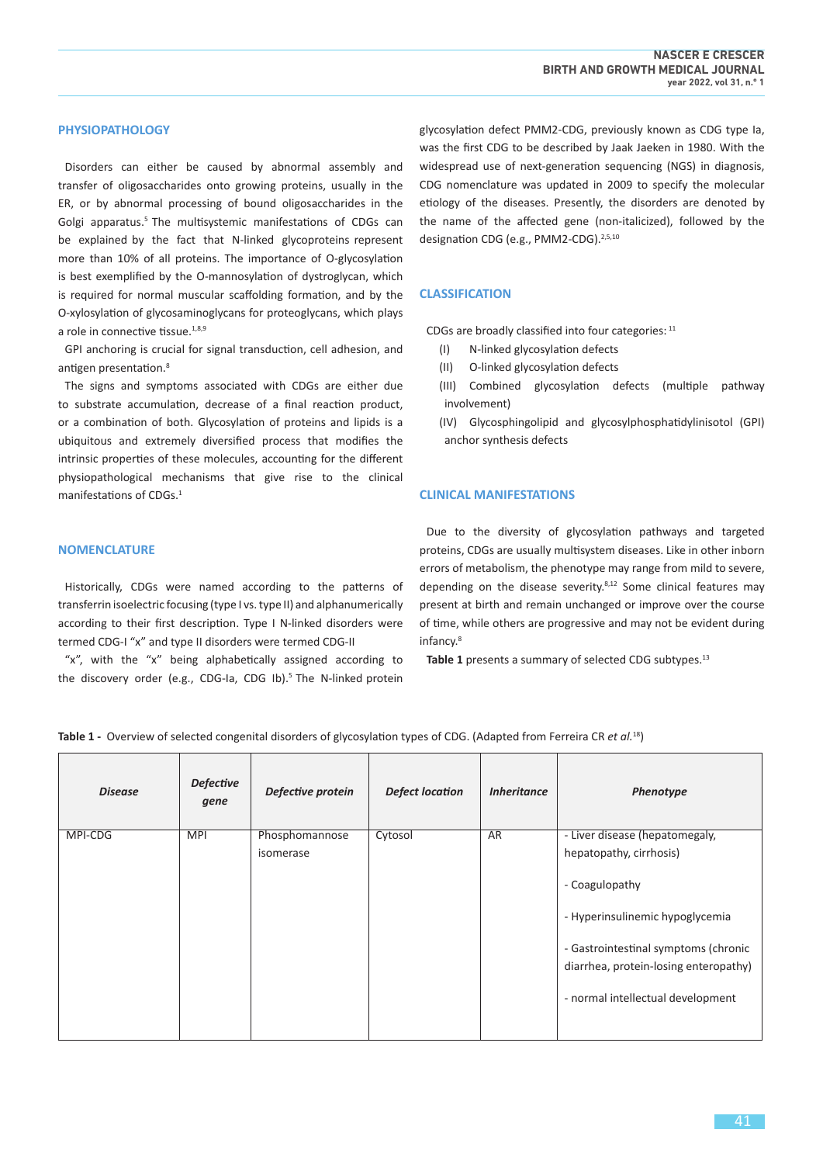# **PHYSIOPATHOLOGY**

Disorders can either be caused by abnormal assembly and transfer of oligosaccharides onto growing proteins, usually in the ER, or by abnormal processing of bound oligosaccharides in the Golgi apparatus.<sup>5</sup> The multisystemic manifestations of CDGs can be explained by the fact that N-linked glycoproteins represent more than 10% of all proteins. The importance of O-glycosylation is best exemplified by the O-mannosylation of dystroglycan, which is required for normal muscular scaffolding formation, and by the O-xylosylation of glycosaminoglycans for proteoglycans, which plays a role in connective tissue.<sup>1,8,9</sup>

GPI anchoring is crucial for signal transduction, cell adhesion, and antigen presentation.<sup>8</sup>

The signs and symptoms associated with CDGs are either due to substrate accumulation, decrease of a final reaction product, or a combination of both. Glycosylation of proteins and lipids is a ubiquitous and extremely diversified process that modifies the intrinsic properties of these molecules, accounting for the different physiopathological mechanisms that give rise to the clinical manifestations of CDGs.<sup>1</sup>

# **NOMENCLATURE**

Historically, CDGs were named according to the patterns of transferrin isoelectric focusing (type I vs. type II) and alphanumerically according to their first description. Type I N-linked disorders were termed CDG-I "x" and type II disorders were termed CDG-II

"x", with the "x" being alphabetically assigned according to the discovery order (e.g., CDG-Ia, CDG Ib).<sup>5</sup> The N-linked protein glycosylation defect PMM2-CDG, previously known as CDG type Ia, was the first CDG to be described by Jaak Jaeken in 1980. With the widespread use of next-generation sequencing (NGS) in diagnosis, CDG nomenclature was updated in 2009 to specify the molecular etiology of the diseases. Presently, the disorders are denoted by the name of the affected gene (non-italicized), followed by the designation CDG (e.g., PMM2-CDG).<sup>2,5,10</sup>

# **CLASSIFICATION**

CDGs are broadly classified into four categories:  $11$ 

- (I) N-linked glycosylation defects
- (II) O-linked glycosylation defects
- (III) Combined glycosylation defects (multiple pathway involvement)
- (IV) Glycosphingolipid and glycosylphosphatidylinisotol (GPI) anchor synthesis defects

# **CLINICAL MANIFESTATIONS**

Due to the diversity of glycosylation pathways and targeted proteins, CDGs are usually multisystem diseases. Like in other inborn errors of metabolism, the phenotype may range from mild to severe, depending on the disease severity. $8,12$  Some clinical features may present at birth and remain unchanged or improve over the course of time, while others are progressive and may not be evident during infancy.8

Table 1 presents a summary of selected CDG subtypes.<sup>13</sup>

**Table 1 -** Overview of selected congenital disorders of glycosylation types of CDG. (Adapted from Ferreira CR *et al.*<sup>18</sup>)

| <b>Disease</b> | <b>Defective</b><br>gene | Defective protein | <b>Defect location</b> | <b>Inheritance</b> | Phenotype                             |
|----------------|--------------------------|-------------------|------------------------|--------------------|---------------------------------------|
| MPI-CDG        | <b>MPI</b>               | Phosphomannose    | Cytosol                | AR                 | - Liver disease (hepatomegaly,        |
|                |                          | isomerase         |                        |                    | hepatopathy, cirrhosis)               |
|                |                          |                   |                        |                    | - Coagulopathy                        |
|                |                          |                   |                        |                    | - Hyperinsulinemic hypoglycemia       |
|                |                          |                   |                        |                    | - Gastrointestinal symptoms (chronic  |
|                |                          |                   |                        |                    | diarrhea, protein-losing enteropathy) |
|                |                          |                   |                        |                    | - normal intellectual development     |
|                |                          |                   |                        |                    |                                       |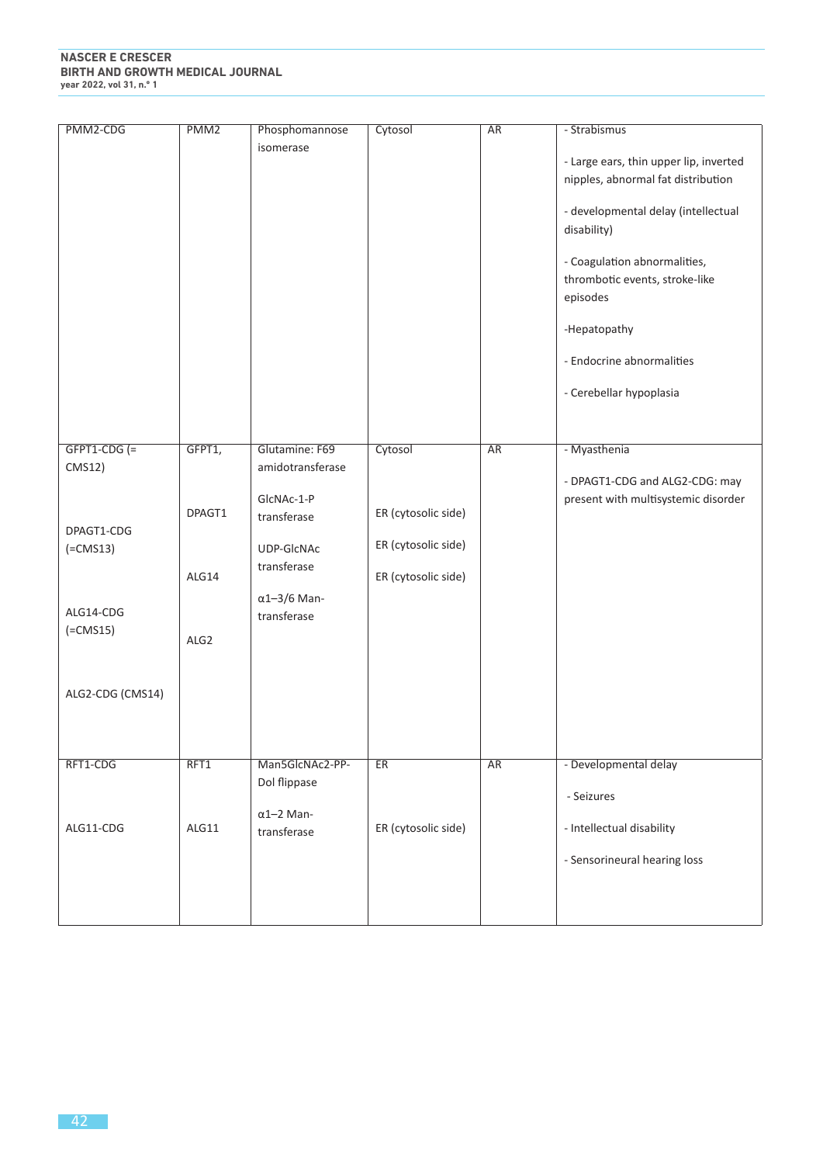| PMM2-CDG                                                                                               | PMM <sub>2</sub>                    | Phosphomannose<br>isomerase                                                                                      | Cytosol                                                           | <b>AR</b> | - Strabismus<br>- Large ears, thin upper lip, inverted<br>nipples, abnormal fat distribution<br>- developmental delay (intellectual<br>disability)<br>- Coagulation abnormalities,<br>thrombotic events, stroke-like<br>episodes<br>-Hepatopathy<br>- Endocrine abnormalities<br>- Cerebellar hypoplasia |
|--------------------------------------------------------------------------------------------------------|-------------------------------------|------------------------------------------------------------------------------------------------------------------|-------------------------------------------------------------------|-----------|----------------------------------------------------------------------------------------------------------------------------------------------------------------------------------------------------------------------------------------------------------------------------------------------------------|
| $GFPT1-CDG (=$                                                                                         | GFPT1,                              | Glutamine: F69                                                                                                   | Cytosol                                                           | <b>AR</b> | - Myasthenia                                                                                                                                                                                                                                                                                             |
| <b>CMS12)</b><br>DPAGT1-CDG<br>$(=\text{CMS13})$<br>ALG14-CDG<br>$(=\text{CMS15})$<br>ALG2-CDG (CMS14) | DPAGT1<br>ALG14<br>ALG <sub>2</sub> | amidotransferase<br>GIcNAc-1-P<br>transferase<br>UDP-GIcNAc<br>transferase<br>$\alpha$ 1-3/6 Man-<br>transferase | ER (cytosolic side)<br>ER (cytosolic side)<br>ER (cytosolic side) |           | - DPAGT1-CDG and ALG2-CDG: may<br>present with multisystemic disorder                                                                                                                                                                                                                                    |
| RFT1-CDG                                                                                               | RFT1                                | Man5GlcNAc2-PP-<br>Dol flippase                                                                                  | <b>ER</b>                                                         | <b>AR</b> | - Developmental delay<br>- Seizures                                                                                                                                                                                                                                                                      |
| ALG11-CDG                                                                                              | ALG11                               | $\alpha$ 1-2 Man-<br>transferase                                                                                 | ER (cytosolic side)                                               |           | - Intellectual disability<br>- Sensorineural hearing loss                                                                                                                                                                                                                                                |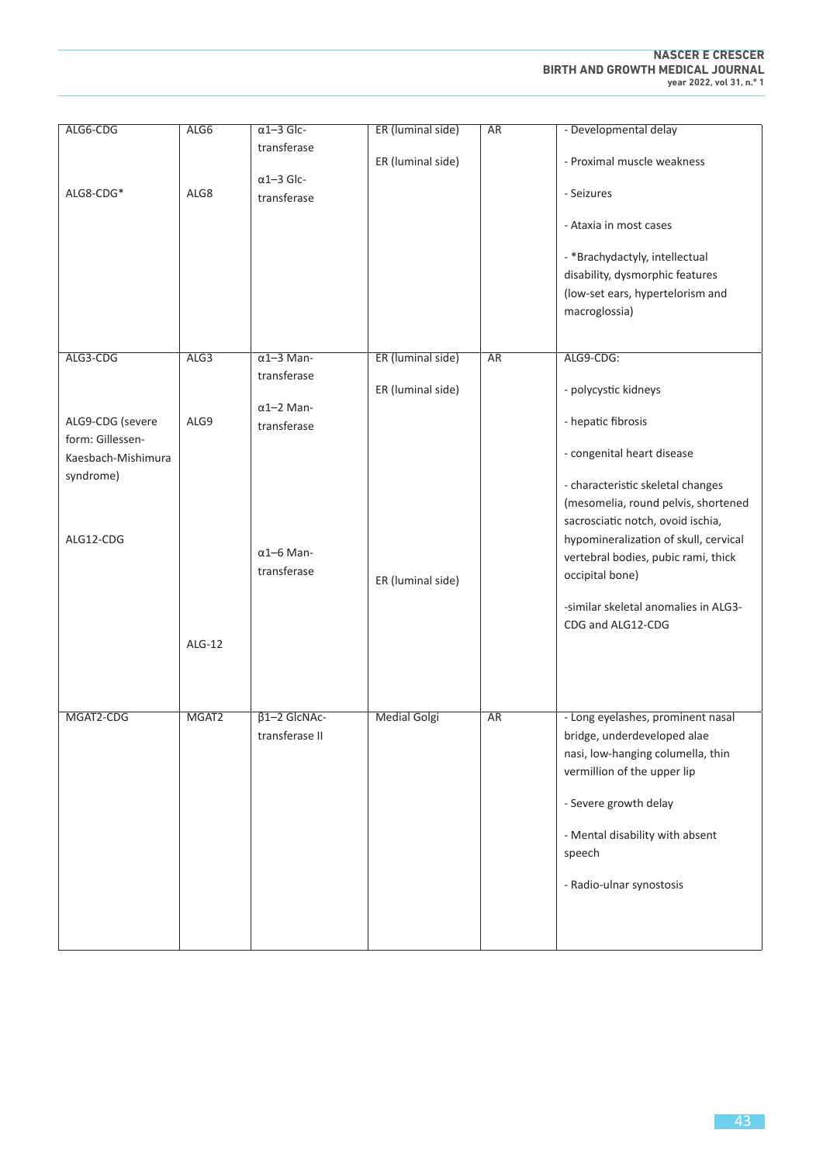| ALG6-CDG           | ALG6              | $\alpha$ 1-3 Glc-   | ER (luminal side)   | <b>AR</b> | - Developmental delay                 |
|--------------------|-------------------|---------------------|---------------------|-----------|---------------------------------------|
|                    |                   | transferase         |                     |           |                                       |
|                    |                   |                     | ER (luminal side)   |           | - Proximal muscle weakness            |
|                    |                   | $\alpha$ 1-3 Glc-   |                     |           |                                       |
| ALG8-CDG*          | ALG8              | transferase         |                     |           | - Seizures                            |
|                    |                   |                     |                     |           |                                       |
|                    |                   |                     |                     |           | - Ataxia in most cases                |
|                    |                   |                     |                     |           |                                       |
|                    |                   |                     |                     |           | - *Brachydactyly, intellectual        |
|                    |                   |                     |                     |           | disability, dysmorphic features       |
|                    |                   |                     |                     |           | (low-set ears, hypertelorism and      |
|                    |                   |                     |                     |           | macroglossia)                         |
|                    |                   |                     |                     |           |                                       |
|                    |                   |                     |                     |           |                                       |
| ALG3-CDG           | ALG3              | $\alpha$ 1-3 Man-   | ER (luminal side)   | <b>AR</b> | ALG9-CDG:                             |
|                    |                   | transferase         |                     |           |                                       |
|                    |                   |                     | ER (luminal side)   |           | - polycystic kidneys                  |
|                    |                   | $\alpha$ 1-2 Man-   |                     |           |                                       |
| ALG9-CDG (severe   | ALG9              | transferase         |                     |           | - hepatic fibrosis                    |
| form: Gillessen-   |                   |                     |                     |           | - congenital heart disease            |
| Kaesbach-Mishimura |                   |                     |                     |           |                                       |
| syndrome)          |                   |                     |                     |           | - characteristic skeletal changes     |
|                    |                   |                     |                     |           | (mesomelia, round pelvis, shortened   |
|                    |                   |                     |                     |           | sacrosciatic notch, ovoid ischia,     |
| ALG12-CDG          |                   |                     |                     |           | hypomineralization of skull, cervical |
|                    |                   | $\alpha$ 1-6 Man-   |                     |           |                                       |
|                    |                   | transferase         |                     |           | vertebral bodies, pubic rami, thick   |
|                    |                   |                     | ER (luminal side)   |           | occipital bone)                       |
|                    |                   |                     |                     |           | -similar skeletal anomalies in ALG3-  |
|                    |                   |                     |                     |           |                                       |
|                    |                   |                     |                     |           | CDG and ALG12-CDG                     |
|                    | $ALG-12$          |                     |                     |           |                                       |
|                    |                   |                     |                     |           |                                       |
|                    |                   |                     |                     |           |                                       |
|                    |                   |                     |                     |           |                                       |
| MGAT2-CDG          | MGAT <sub>2</sub> | $\beta$ 1-2 GlcNAc- | <b>Medial Golgi</b> | <b>AR</b> | - Long eyelashes, prominent nasal     |
|                    |                   | transferase II      |                     |           | bridge, underdeveloped alae           |
|                    |                   |                     |                     |           | nasi, low-hanging columella, thin     |
|                    |                   |                     |                     |           | vermillion of the upper lip           |
|                    |                   |                     |                     |           |                                       |
|                    |                   |                     |                     |           | - Severe growth delay                 |
|                    |                   |                     |                     |           |                                       |
|                    |                   |                     |                     |           | - Mental disability with absent       |
|                    |                   |                     |                     |           | speech                                |
|                    |                   |                     |                     |           |                                       |
|                    |                   |                     |                     |           | - Radio-ulnar synostosis              |
|                    |                   |                     |                     |           |                                       |
|                    |                   |                     |                     |           |                                       |
|                    |                   |                     |                     |           |                                       |
|                    |                   |                     |                     |           |                                       |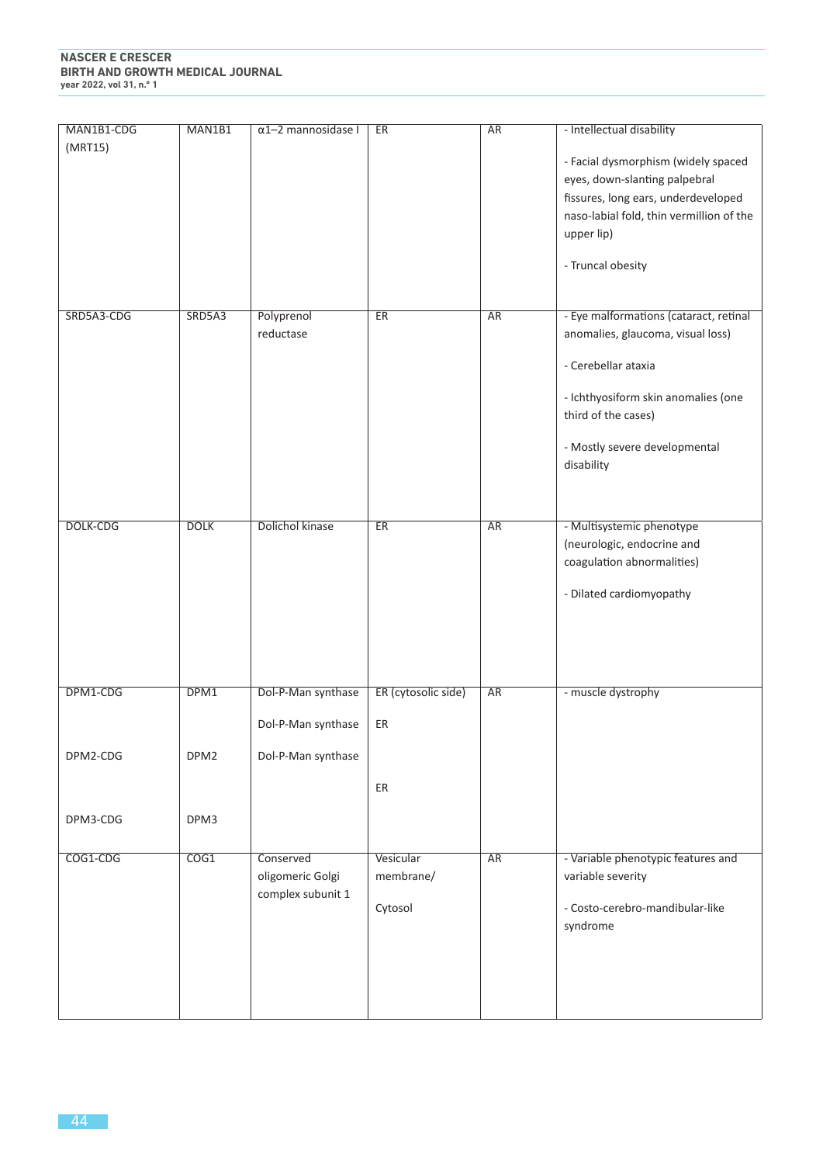| MAN1B1-CDG      | MAN1B1           | $\alpha$ 1-2 mannosidase I | ER                  | <b>AR</b> | - Intellectual disability                |
|-----------------|------------------|----------------------------|---------------------|-----------|------------------------------------------|
| (MRT15)         |                  |                            |                     |           |                                          |
|                 |                  |                            |                     |           | - Facial dysmorphism (widely spaced      |
|                 |                  |                            |                     |           | eyes, down-slanting palpebral            |
|                 |                  |                            |                     |           | fissures, long ears, underdeveloped      |
|                 |                  |                            |                     |           | naso-labial fold, thin vermillion of the |
|                 |                  |                            |                     |           | upper lip)                               |
|                 |                  |                            |                     |           |                                          |
|                 |                  |                            |                     |           | - Truncal obesity                        |
|                 |                  |                            |                     |           |                                          |
|                 |                  |                            |                     |           |                                          |
| SRD5A3-CDG      | SRD5A3           | Polyprenol                 | ER                  | <b>AR</b> | - Eye malformations (cataract, retinal   |
|                 |                  | reductase                  |                     |           | anomalies, glaucoma, visual loss)        |
|                 |                  |                            |                     |           |                                          |
|                 |                  |                            |                     |           | - Cerebellar ataxia                      |
|                 |                  |                            |                     |           | - Ichthyosiform skin anomalies (one      |
|                 |                  |                            |                     |           | third of the cases)                      |
|                 |                  |                            |                     |           |                                          |
|                 |                  |                            |                     |           | - Mostly severe developmental            |
|                 |                  |                            |                     |           | disability                               |
|                 |                  |                            |                     |           |                                          |
|                 |                  |                            |                     |           |                                          |
| <b>DOLK-CDG</b> | <b>DOLK</b>      | <b>Dolichol kinase</b>     | ER                  | <b>AR</b> | - Multisystemic phenotype                |
|                 |                  |                            |                     |           | (neurologic, endocrine and               |
|                 |                  |                            |                     |           | coagulation abnormalities)               |
|                 |                  |                            |                     |           |                                          |
|                 |                  |                            |                     |           | - Dilated cardiomyopathy                 |
|                 |                  |                            |                     |           |                                          |
|                 |                  |                            |                     |           |                                          |
|                 |                  |                            |                     |           |                                          |
|                 |                  |                            |                     |           |                                          |
| DPM1-CDG        | DPM1             | Dol-P-Man synthase         | ER (cytosolic side) | <b>AR</b> | - muscle dystrophy                       |
|                 |                  |                            |                     |           |                                          |
|                 |                  | Dol-P-Man synthase         | ER                  |           |                                          |
|                 |                  |                            |                     |           |                                          |
| DPM2-CDG        | DPM <sub>2</sub> | Dol-P-Man synthase         |                     |           |                                          |
|                 |                  |                            |                     |           |                                          |
|                 |                  |                            | ER                  |           |                                          |
|                 | DPM3             |                            |                     |           |                                          |
| DPM3-CDG        |                  |                            |                     |           |                                          |
|                 |                  |                            |                     |           |                                          |
| COG1-CDG        | COG1             | Conserved                  | Vesicular           | AR        | - Variable phenotypic features and       |
|                 |                  | oligomeric Golgi           | membrane/           |           | variable severity                        |
|                 |                  | complex subunit 1          | Cytosol             |           | - Costo-cerebro-mandibular-like          |
|                 |                  |                            |                     |           | syndrome                                 |
|                 |                  |                            |                     |           |                                          |
|                 |                  |                            |                     |           |                                          |
|                 |                  |                            |                     |           |                                          |
|                 |                  |                            |                     |           |                                          |
|                 |                  |                            |                     |           |                                          |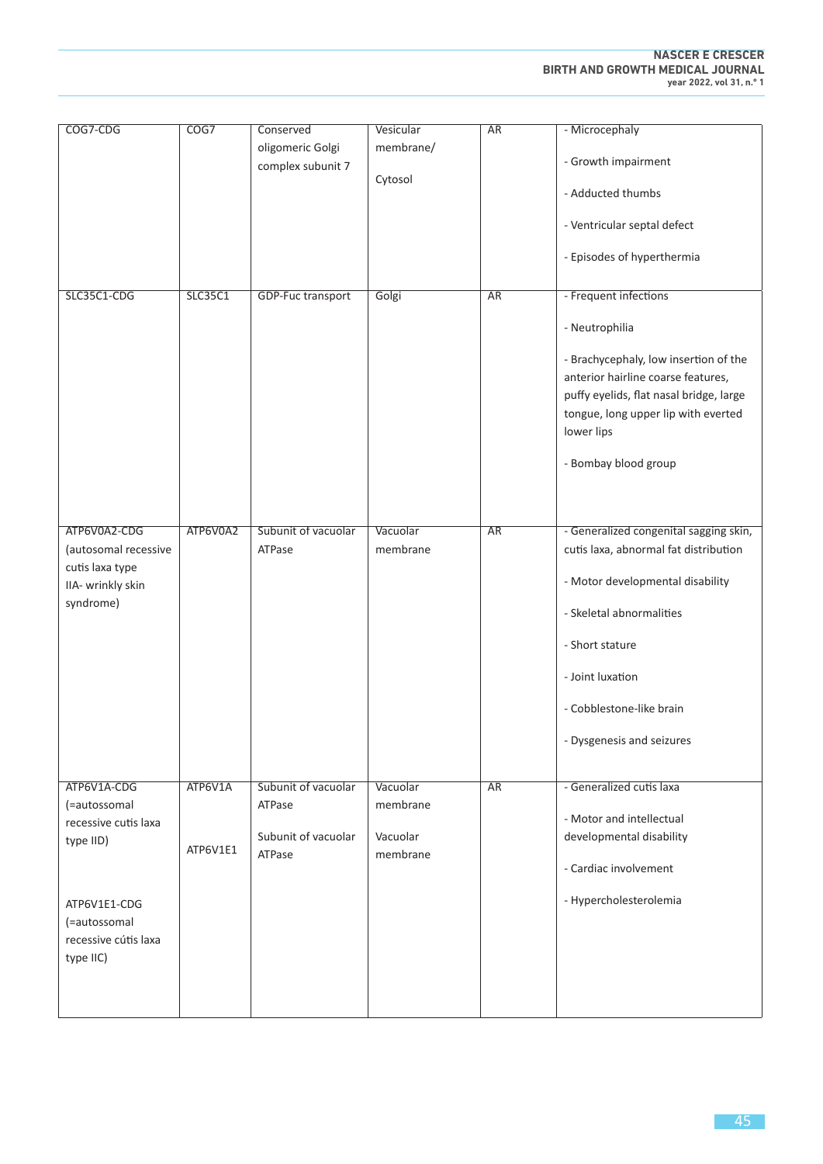| COG7-CDG                             | COG7     | Conserved                | Vesicular | <b>AR</b> | - Microcephaly                                       |
|--------------------------------------|----------|--------------------------|-----------|-----------|------------------------------------------------------|
|                                      |          | oligomeric Golgi         | membrane/ |           |                                                      |
|                                      |          | complex subunit 7        | Cytosol   |           | - Growth impairment                                  |
|                                      |          |                          |           |           | - Adducted thumbs                                    |
|                                      |          |                          |           |           | - Ventricular septal defect                          |
|                                      |          |                          |           |           | - Episodes of hyperthermia                           |
| SLC35C1-CDG                          | SLC35C1  | <b>GDP-Fuc transport</b> | Golgi     | <b>AR</b> | - Frequent infections                                |
|                                      |          |                          |           |           | - Neutrophilia                                       |
|                                      |          |                          |           |           | - Brachycephaly, low insertion of the                |
|                                      |          |                          |           |           | anterior hairline coarse features,                   |
|                                      |          |                          |           |           | puffy eyelids, flat nasal bridge, large              |
|                                      |          |                          |           |           | tongue, long upper lip with everted<br>lower lips    |
|                                      |          |                          |           |           |                                                      |
|                                      |          |                          |           |           | - Bombay blood group                                 |
|                                      |          |                          |           |           |                                                      |
| ATP6V0A2-CDG                         | ATP6V0A2 | Subunit of vacuolar      | Vacuolar  | <b>AR</b> | - Generalized congenital sagging skin,               |
| (autosomal recessive                 |          | ATPase                   | membrane  |           | cutis laxa, abnormal fat distribution                |
| cutis laxa type<br>IIA- wrinkly skin |          |                          |           |           | - Motor developmental disability                     |
| syndrome)                            |          |                          |           |           | - Skeletal abnormalities                             |
|                                      |          |                          |           |           | - Short stature                                      |
|                                      |          |                          |           |           | - Joint luxation                                     |
|                                      |          |                          |           |           | - Cobblestone-like brain                             |
|                                      |          |                          |           |           |                                                      |
|                                      |          |                          |           |           | - Dysgenesis and seizures                            |
| ATP6V1A-CDG                          | ATP6V1A  | Subunit of vacuolar      | Vacuolar  | <b>AR</b> | - Generalized cutis laxa                             |
| (=autossomal                         |          | ATPase                   | membrane  |           |                                                      |
| recessive cutis laxa                 |          | Subunit of vacuolar      | Vacuolar  |           | - Motor and intellectual<br>developmental disability |
| type IID)                            | ATP6V1E1 | ATPase                   | membrane  |           |                                                      |
|                                      |          |                          |           |           | - Cardiac involvement                                |
| ATP6V1E1-CDG                         |          |                          |           |           | - Hypercholesterolemia                               |
| (=autossomal                         |          |                          |           |           |                                                      |
| recessive cútis laxa<br>type IIC)    |          |                          |           |           |                                                      |
|                                      |          |                          |           |           |                                                      |
|                                      |          |                          |           |           |                                                      |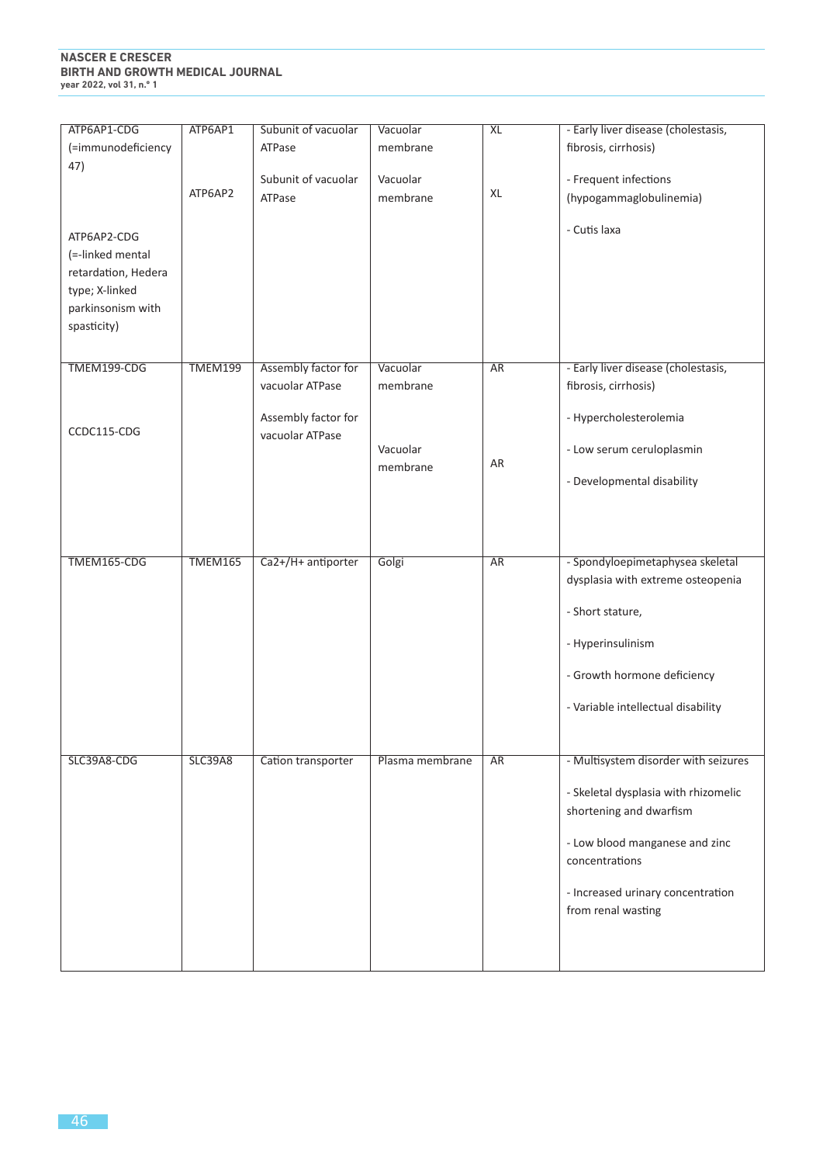# **NASCER E CRESCER BIRTH AND GROWTH MEDICAL JOURNAL year 2022, vol 31, n.º 1**

| ATP6AP1-CDG<br>(=immunodeficiency                                                                            | ATP6AP1        | Subunit of vacuolar<br>ATPase          | Vacuolar<br>membrane | <b>XL</b> | - Early liver disease (cholestasis,<br>fibrosis, cirrhosis)                               |
|--------------------------------------------------------------------------------------------------------------|----------------|----------------------------------------|----------------------|-----------|-------------------------------------------------------------------------------------------|
| 47)                                                                                                          |                | Subunit of vacuolar                    | Vacuolar             |           |                                                                                           |
|                                                                                                              | ATP6AP2        | ATPase                                 | membrane             | XL        | - Frequent infections<br>(hypogammaglobulinemia)                                          |
| ATP6AP2-CDG<br>(=-linked mental<br>retardation, Hedera<br>type; X-linked<br>parkinsonism with<br>spasticity) |                |                                        |                      |           | - Cutis laxa                                                                              |
| TMEM199-CDG                                                                                                  | <b>TMEM199</b> | Assembly factor for<br>vacuolar ATPase | Vacuolar<br>membrane | <b>AR</b> | - Early liver disease (cholestasis,<br>fibrosis, cirrhosis)                               |
| CCDC115-CDG                                                                                                  |                | Assembly factor for<br>vacuolar ATPase |                      |           | - Hypercholesterolemia                                                                    |
|                                                                                                              |                |                                        | Vacuolar<br>membrane | AR        | - Low serum ceruloplasmin                                                                 |
|                                                                                                              |                |                                        |                      |           | - Developmental disability                                                                |
| TMEM165-CDG                                                                                                  | TMEM165        | Ca2+/H+ antiporter                     | Golgi                | <b>AR</b> | - Spondyloepimetaphysea skeletal<br>dysplasia with extreme osteopenia<br>- Short stature, |
|                                                                                                              |                |                                        |                      |           | - Hyperinsulinism                                                                         |
|                                                                                                              |                |                                        |                      |           | - Growth hormone deficiency                                                               |
|                                                                                                              |                |                                        |                      |           | - Variable intellectual disability                                                        |
| SLC39A8-CDG                                                                                                  | <b>SLC39A8</b> | Cation transporter                     | Plasma membrane      | AR        | - Multisystem disorder with seizures                                                      |
|                                                                                                              |                |                                        |                      |           | - Skeletal dysplasia with rhizomelic<br>shortening and dwarfism                           |
|                                                                                                              |                |                                        |                      |           | - Low blood manganese and zinc<br>concentrations                                          |
|                                                                                                              |                |                                        |                      |           | - Increased urinary concentration<br>from renal wasting                                   |
|                                                                                                              |                |                                        |                      |           |                                                                                           |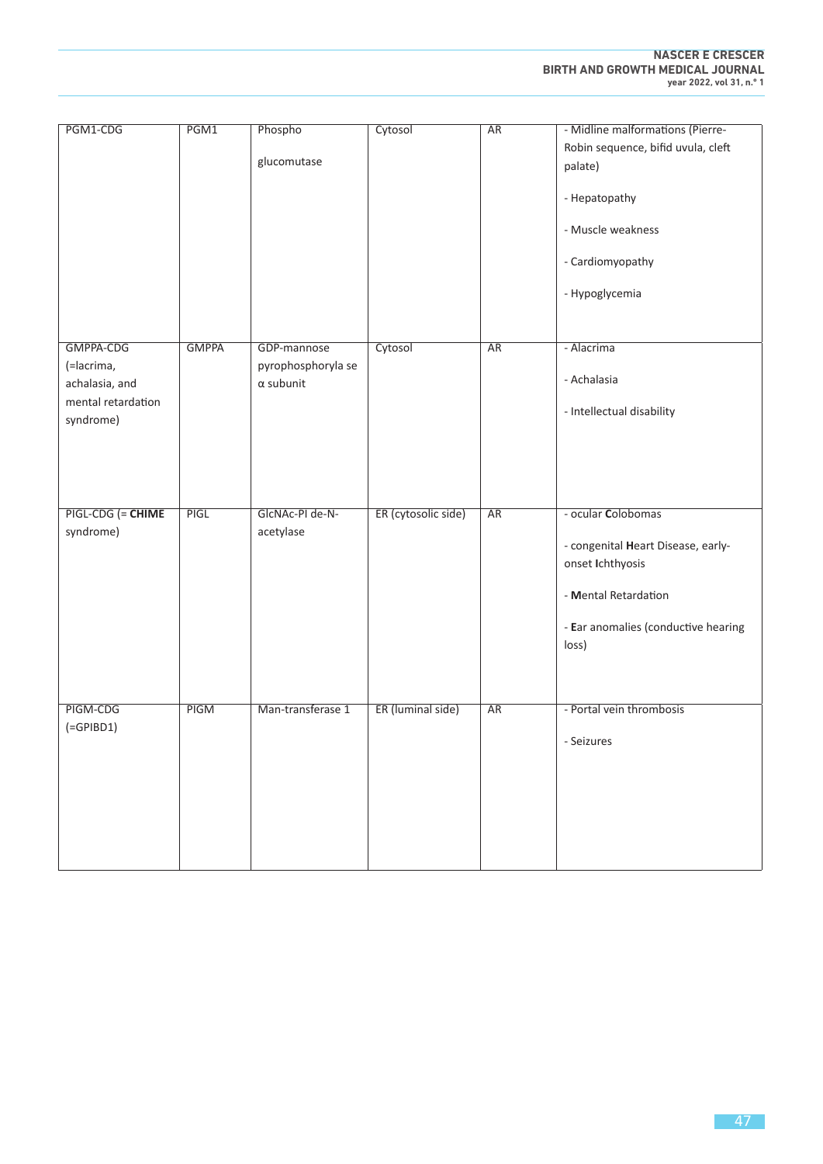| PGM1-CDG           | PGM1         | Phospho            | Cytosol             | AR        | - Midline malformations (Pierre-    |
|--------------------|--------------|--------------------|---------------------|-----------|-------------------------------------|
|                    |              |                    |                     |           | Robin sequence, bifid uvula, cleft  |
|                    |              | glucomutase        |                     |           | palate)                             |
|                    |              |                    |                     |           |                                     |
|                    |              |                    |                     |           | - Hepatopathy                       |
|                    |              |                    |                     |           |                                     |
|                    |              |                    |                     |           | - Muscle weakness                   |
|                    |              |                    |                     |           |                                     |
|                    |              |                    |                     |           | - Cardiomyopathy                    |
|                    |              |                    |                     |           |                                     |
|                    |              |                    |                     |           | - Hypoglycemia                      |
|                    |              |                    |                     |           |                                     |
|                    |              |                    |                     |           |                                     |
|                    |              |                    |                     |           |                                     |
| GMPPA-CDG          | <b>GMPPA</b> | GDP-mannose        | Cytosol             | AR        | - Alacrima                          |
| (=lacrima,         |              | pyrophosphoryla se |                     |           |                                     |
| achalasia, and     |              | $\alpha$ subunit   |                     |           | - Achalasia                         |
| mental retardation |              |                    |                     |           |                                     |
| syndrome)          |              |                    |                     |           | - Intellectual disability           |
|                    |              |                    |                     |           |                                     |
|                    |              |                    |                     |           |                                     |
|                    |              |                    |                     |           |                                     |
|                    |              |                    |                     |           |                                     |
|                    |              |                    |                     |           |                                     |
| PIGL-CDG (= CHIME  | PIGL         | GIcNAc-PI de-N-    | ER (cytosolic side) | AR        | - ocular Colobomas                  |
| syndrome)          |              | acetylase          |                     |           |                                     |
|                    |              |                    |                     |           | - congenital Heart Disease, early-  |
|                    |              |                    |                     |           | onset Ichthyosis                    |
|                    |              |                    |                     |           |                                     |
|                    |              |                    |                     |           | - Mental Retardation                |
|                    |              |                    |                     |           |                                     |
|                    |              |                    |                     |           | - Ear anomalies (conductive hearing |
|                    |              |                    |                     |           | loss)                               |
|                    |              |                    |                     |           |                                     |
|                    |              |                    |                     |           |                                     |
|                    |              |                    |                     |           |                                     |
| PIGM-CDG           | PIGM         | Man-transferase 1  | ER (luminal side)   | <b>AR</b> | - Portal vein thrombosis            |
|                    |              |                    |                     |           |                                     |
| $(=\text{GPIBD1})$ |              |                    |                     |           | - Seizures                          |
|                    |              |                    |                     |           |                                     |
|                    |              |                    |                     |           |                                     |
|                    |              |                    |                     |           |                                     |
|                    |              |                    |                     |           |                                     |
|                    |              |                    |                     |           |                                     |
|                    |              |                    |                     |           |                                     |
|                    |              |                    |                     |           |                                     |
|                    |              |                    |                     |           |                                     |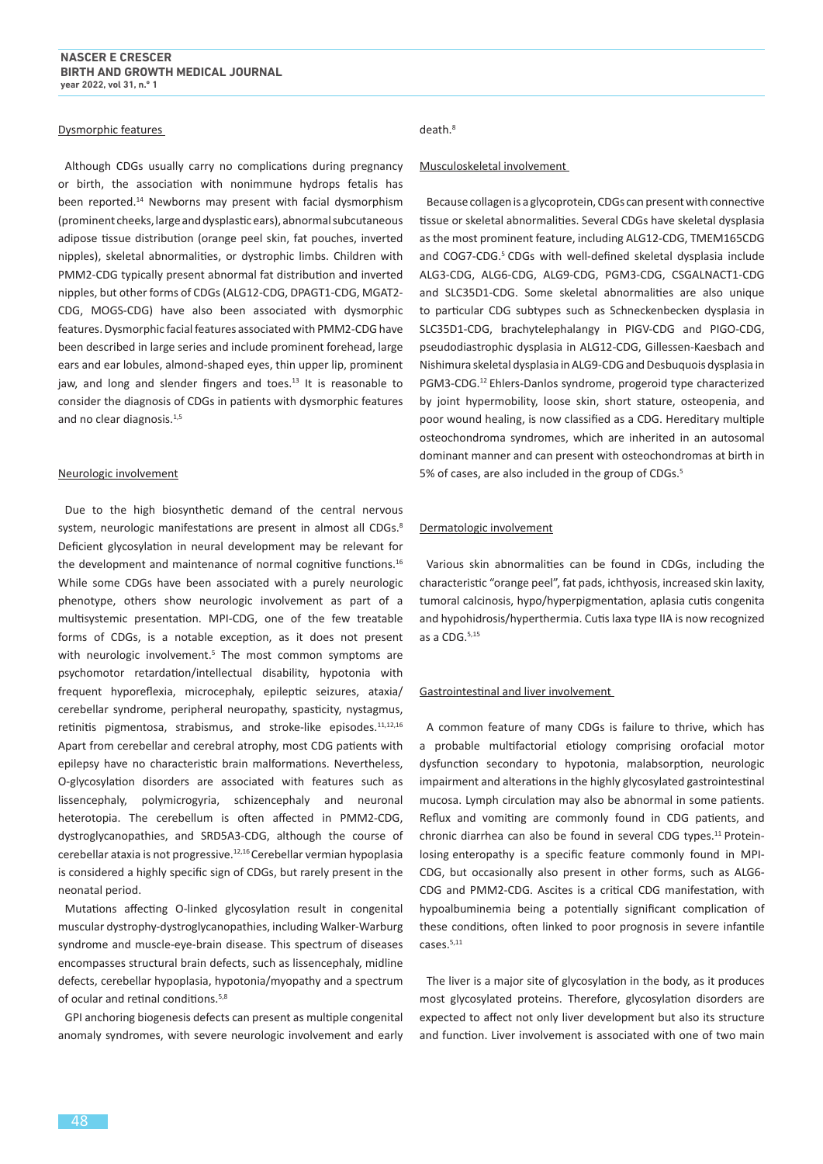#### Dysmorphic features

Although CDGs usually carry no complications during pregnancy or birth, the association with nonimmune hydrops fetalis has been reported.<sup>14</sup> Newborns may present with facial dysmorphism (prominent cheeks, large and dysplastic ears), abnormal subcutaneous adipose tissue distribution (orange peel skin, fat pouches, inverted nipples), skeletal abnormalities, or dystrophic limbs. Children with PMM2-CDG typically present abnormal fat distribution and inverted nipples, but other forms of CDGs (ALG12-CDG, DPAGT1-CDG, MGAT2- CDG, MOGS-CDG) have also been associated with dysmorphic features. Dysmorphic facial features associated with PMM2-CDG have been described in large series and include prominent forehead, large ears and ear lobules, almond-shaped eyes, thin upper lip, prominent jaw, and long and slender fingers and toes.<sup>13</sup> It is reasonable to consider the diagnosis of CDGs in patients with dysmorphic features and no clear diagnosis.<sup>1,5</sup>

#### Neurologic involvement

Due to the high biosynthetic demand of the central nervous system, neurologic manifestations are present in almost all CDGs.<sup>8</sup> Deficient glycosylation in neural development may be relevant for the development and maintenance of normal cognitive functions.<sup>16</sup> While some CDGs have been associated with a purely neurologic phenotype, others show neurologic involvement as part of a multisystemic presentation. MPI-CDG, one of the few treatable forms of CDGs, is a notable exception, as it does not present with neurologic involvement.<sup>5</sup> The most common symptoms are psychomotor retardation/intellectual disability, hypotonia with frequent hyporeflexia, microcephaly, epileptic seizures, ataxia/ cerebellar syndrome, peripheral neuropathy, spasticity, nystagmus, retinitis pigmentosa, strabismus, and stroke-like episodes.<sup>11,12,16</sup> Apart from cerebellar and cerebral atrophy, most CDG patients with epilepsy have no characteristic brain malformations. Nevertheless, O-glycosylation disorders are associated with features such as lissencephaly, polymicrogyria, schizencephaly and neuronal heterotopia. The cerebellum is often affected in PMM2-CDG, dystroglycanopathies, and SRD5A3-CDG, although the course of cerebellar ataxia is not progressive.12,16 Cerebellar vermian hypoplasia is considered a highly specific sign of CDGs, but rarely present in the neonatal period.

Mutations affecting O-linked glycosylation result in congenital muscular dystrophy-dystroglycanopathies, including Walker-Warburg syndrome and muscle-eye-brain disease. This spectrum of diseases encompasses structural brain defects, such as lissencephaly, midline defects, cerebellar hypoplasia, hypotonia/myopathy and a spectrum of ocular and retinal conditions.<sup>5,8</sup>

GPI anchoring biogenesis defects can present as multiple congenital anomaly syndromes, with severe neurologic involvement and early

# death<sup>8</sup>

#### Musculoskeletal involvement

Because collagen is a glycoprotein, CDGs can present with connective tissue or skeletal abnormalities. Several CDGs have skeletal dysplasia as the most prominent feature, including ALG12-CDG, TMEM165CDG and COG7-CDG.<sup>5</sup> CDGs with well-defined skeletal dysplasia include ALG3-CDG, ALG6-CDG, ALG9-CDG, PGM3-CDG, CSGALNACT1-CDG and SLC35D1-CDG. Some skeletal abnormalities are also unique to particular CDG subtypes such as Schneckenbecken dysplasia in SLC35D1-CDG, brachytelephalangy in PIGV-CDG and PIGO-CDG, pseudodiastrophic dysplasia in ALG12-CDG, Gillessen-Kaesbach and Nishimura skeletal dysplasia in ALG9-CDG and Desbuquois dysplasia in PGM3-CDG.<sup>12</sup> Ehlers-Danlos syndrome, progeroid type characterized by joint hypermobility, loose skin, short stature, osteopenia, and poor wound healing, is now classified as a CDG. Hereditary multiple osteochondroma syndromes, which are inherited in an autosomal dominant manner and can present with osteochondromas at birth in 5% of cases, are also included in the group of CDGs.<sup>5</sup>

#### Dermatologic involvement

Various skin abnormalities can be found in CDGs, including the characteristic "orange peel", fat pads, ichthyosis, increased skin laxity, tumoral calcinosis, hypo/hyperpigmentation, aplasia cutis congenita and hypohidrosis/hyperthermia. Cutis laxa type IIA is now recognized as a CDG.5,15

#### Gastrointestinal and liver involvement

A common feature of many CDGs is failure to thrive, which has a probable multifactorial etiology comprising orofacial motor dysfunction secondary to hypotonia, malabsorption, neurologic impairment and alterations in the highly glycosylated gastrointestinal mucosa. Lymph circulation may also be abnormal in some patients. Reflux and vomiting are commonly found in CDG patients, and chronic diarrhea can also be found in several CDG types.<sup>11</sup> Proteinlosing enteropathy is a specific feature commonly found in MPI-CDG, but occasionally also present in other forms, such as ALG6- CDG and PMM2-CDG. Ascites is a critical CDG manifestation, with hypoalbuminemia being a potentially significant complication of these conditions, often linked to poor prognosis in severe infantile cases.5,11

The liver is a major site of glycosylation in the body, as it produces most glycosylated proteins. Therefore, glycosylation disorders are expected to affect not only liver development but also its structure and function. Liver involvement is associated with one of two main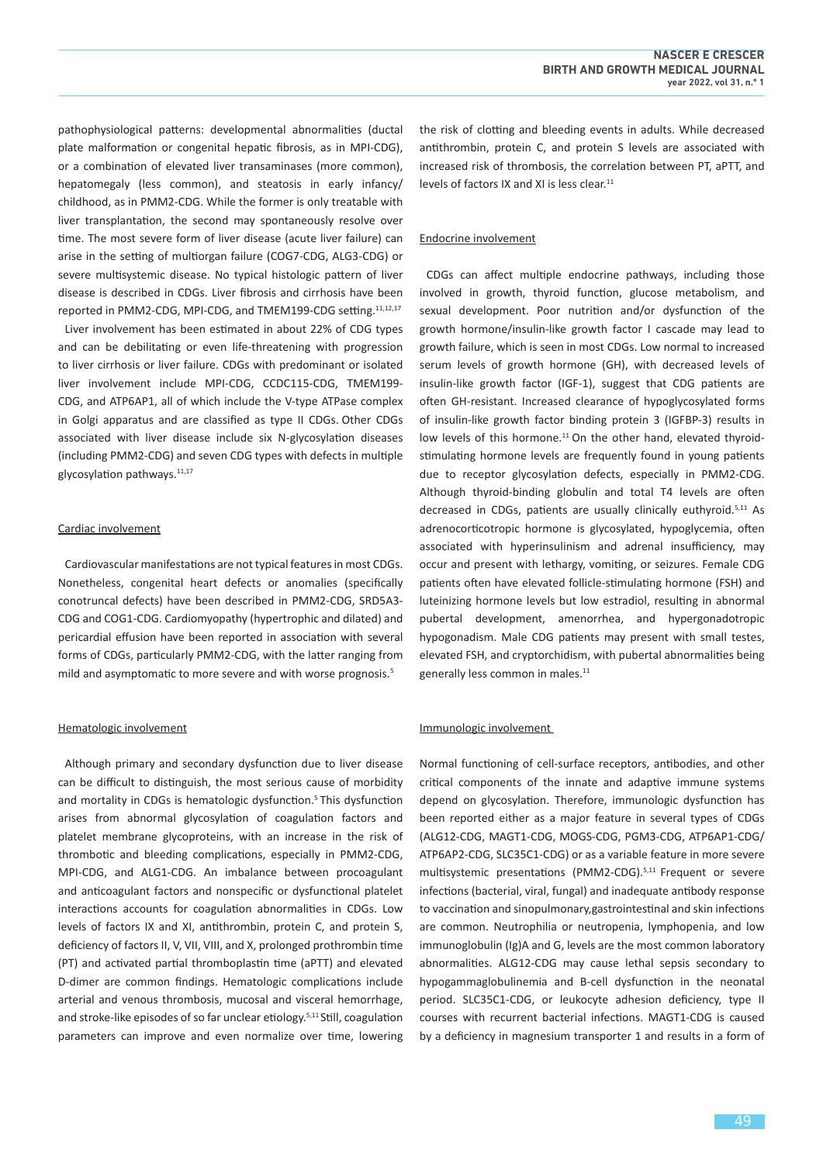pathophysiological patterns: developmental abnormalities (ductal plate malformation or congenital hepatic fibrosis, as in MPI-CDG), or a combination of elevated liver transaminases (more common), hepatomegaly (less common), and steatosis in early infancy/ childhood, as in PMM2-CDG. While the former is only treatable with liver transplantation, the second may spontaneously resolve over time. The most severe form of liver disease (acute liver failure) can arise in the setting of multiorgan failure (COG7-CDG, ALG3-CDG) or severe multisystemic disease. No typical histologic pattern of liver disease is described in CDGs. Liver fibrosis and cirrhosis have been reported in PMM2-CDG, MPI-CDG, and TMEM199-CDG setting.11,12,17

Liver involvement has been estimated in about 22% of CDG types and can be debilitating or even life-threatening with progression to liver cirrhosis or liver failure. CDGs with predominant or isolated liver involvement include MPI-CDG, CCDC115-CDG, TMEM199- CDG, and ATP6AP1, all of which include the V-type ATPase complex in Golgi apparatus and are classified as type II CDGs. Other CDGs associated with liver disease include six N-glycosylation diseases (including PMM2-CDG) and seven CDG types with defects in multiple glycosylation pathways.<sup>11,17</sup>

#### Cardiac involvement

Cardiovascular manifestations are not typical features in most CDGs. Nonetheless, congenital heart defects or anomalies (specifically conotruncal defects) have been described in PMM2-CDG, SRD5A3- CDG and COG1-CDG. Cardiomyopathy (hypertrophic and dilated) and pericardial effusion have been reported in association with several forms of CDGs, particularly PMM2-CDG, with the latter ranging from mild and asymptomatic to more severe and with worse prognosis.<sup>5</sup>

#### Hematologic involvement

Although primary and secondary dysfunction due to liver disease can be difficult to distinguish, the most serious cause of morbidity and mortality in CDGs is hematologic dysfunction.<sup>5</sup> This dysfunction arises from abnormal glycosylation of coagulation factors and platelet membrane glycoproteins, with an increase in the risk of thrombotic and bleeding complications, especially in PMM2-CDG, MPI-CDG, and ALG1-CDG. An imbalance between procoagulant and anticoagulant factors and nonspecific or dysfunctional platelet interactions accounts for coagulation abnormalities in CDGs. Low levels of factors IX and XI, antithrombin, protein C, and protein S, deficiency of factors II, V, VII, VIII, and X, prolonged prothrombin time (PT) and activated partial thromboplastin time (aPTT) and elevated D-dimer are common findings. Hematologic complications include arterial and venous thrombosis, mucosal and visceral hemorrhage, and stroke-like episodes of so far unclear etiology.<sup>5,11</sup> Still, coagulation parameters can improve and even normalize over time, lowering the risk of clotting and bleeding events in adults. While decreased antithrombin, protein C, and protein S levels are associated with increased risk of thrombosis, the correlation between PT, aPTT, and levels of factors IX and XI is less clear.<sup>11</sup>

#### Endocrine involvement

CDGs can affect multiple endocrine pathways, including those involved in growth, thyroid function, glucose metabolism, and sexual development. Poor nutrition and/or dysfunction of the growth hormone/insulin-like growth factor I cascade may lead to growth failure, which is seen in most CDGs. Low normal to increased serum levels of growth hormone (GH), with decreased levels of insulin-like growth factor (IGF-1), suggest that CDG patients are often GH-resistant. Increased clearance of hypoglycosylated forms of insulin-like growth factor binding protein 3 (IGFBP-3) results in low levels of this hormone.<sup>11</sup> On the other hand, elevated thyroidstimulating hormone levels are frequently found in young patients due to receptor glycosylation defects, especially in PMM2-CDG. Although thyroid-binding globulin and total T4 levels are often decreased in CDGs, patients are usually clinically euthyroid.<sup>5,11</sup> As adrenocorticotropic hormone is glycosylated, hypoglycemia, often associated with hyperinsulinism and adrenal insufficiency, may occur and present with lethargy, vomiting, or seizures. Female CDG patients often have elevated follicle-stimulating hormone (FSH) and luteinizing hormone levels but low estradiol, resulting in abnormal pubertal development, amenorrhea, and hypergonadotropic hypogonadism. Male CDG patients may present with small testes, elevated FSH, and cryptorchidism, with pubertal abnormalities being generally less common in males.<sup>11</sup>

#### Immunologic involvement

Normal functioning of cell-surface receptors, antibodies, and other critical components of the innate and adaptive immune systems depend on glycosylation. Therefore, immunologic dysfunction has been reported either as a major feature in several types of CDGs (ALG12-CDG, MAGT1-CDG, MOGS-CDG, PGM3-CDG, ATP6AP1-CDG/ ATP6AP2-CDG, SLC35C1-CDG) or as a variable feature in more severe multisystemic presentations (PMM2-CDG).<sup>5,11</sup> Frequent or severe infections (bacterial, viral, fungal) and inadequate antibody response to vaccination and sinopulmonary,gastrointestinal and skin infections are common. Neutrophilia or neutropenia, lymphopenia, and low immunoglobulin (Ig)A and G, levels are the most common laboratory abnormalities. ALG12-CDG may cause lethal sepsis secondary to hypogammaglobulinemia and B-cell dysfunction in the neonatal period. SLC35C1-CDG, or leukocyte adhesion deficiency, type II courses with recurrent bacterial infections. MAGT1-CDG is caused by a deficiency in magnesium transporter 1 and results in a form of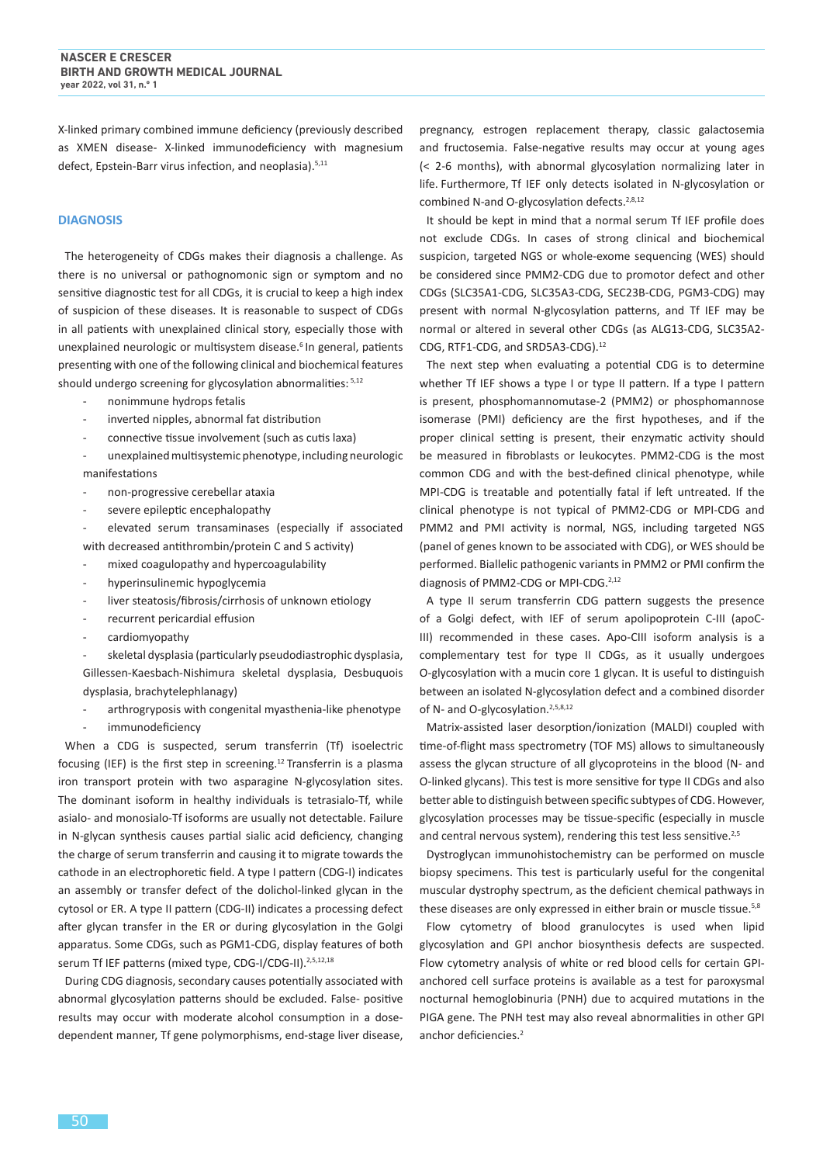X-linked primary combined immune deficiency (previously described as XMEN disease- X-linked immunodeficiency with magnesium defect, Epstein-Barr virus infection, and neoplasia).5,11

# **DIAGNOSIS**

The heterogeneity of CDGs makes their diagnosis a challenge. As there is no universal or pathognomonic sign or symptom and no sensitive diagnostic test for all CDGs, it is crucial to keep a high index of suspicion of these diseases. It is reasonable to suspect of CDGs in all patients with unexplained clinical story, especially those with unexplained neurologic or multisystem disease.<sup>6</sup> In general, patients presenting with one of the following clinical and biochemical features should undergo screening for glycosylation abnormalities: 5,12

- nonimmune hydrops fetalis
- inverted nipples, abnormal fat distribution
- connective tissue involvement (such as cutis laxa)

unexplained multisystemic phenotype, including neurologic manifestations

- non-progressive cerebellar ataxia
- severe epileptic encephalopathy

elevated serum transaminases (especially if associated with decreased antithrombin/protein C and S activity)

- mixed coagulopathy and hypercoagulability
- hyperinsulinemic hypoglycemia
- liver steatosis/fibrosis/cirrhosis of unknown etiology
- recurrent pericardial effusion
- cardiomyopathy

skeletal dysplasia (particularly pseudodiastrophic dysplasia, Gillessen-Kaesbach-Nishimura skeletal dysplasia, Desbuquois dysplasia, brachytelephlanagy)

arthrogryposis with congenital myasthenia-like phenotype immunodeficiency

When a CDG is suspected, serum transferrin (Tf) isoelectric focusing (IEF) is the first step in screening.<sup>12</sup> Transferrin is a plasma iron transport protein with two asparagine N-glycosylation sites. The dominant isoform in healthy individuals is tetrasialo-Tf, while asialo- and monosialo-Tf isoforms are usually not detectable. Failure in N-glycan synthesis causes partial sialic acid deficiency, changing the charge of serum transferrin and causing it to migrate towards the cathode in an electrophoretic field. A type I pattern (CDG-I) indicates an assembly or transfer defect of the dolichol-linked glycan in the cytosol or ER. A type II pattern (CDG-II) indicates a processing defect after glycan transfer in the ER or during glycosylation in the Golgi apparatus. Some CDGs, such as PGM1-CDG, display features of both serum Tf IEF patterns (mixed type, CDG-I/CDG-II).<sup>2,5,12,18</sup>

During CDG diagnosis, secondary causes potentially associated with abnormal glycosylation patterns should be excluded. False- positive results may occur with moderate alcohol consumption in a dosedependent manner, Tf gene polymorphisms, end-stage liver disease,

pregnancy, estrogen replacement therapy, classic galactosemia and fructosemia. False-negative results may occur at young ages (< 2-6 months), with abnormal glycosylation normalizing later in life. Furthermore, Tf IEF only detects isolated in N-glycosylation or combined N-and O-glycosylation defects.<sup>2,8,12</sup>

It should be kept in mind that a normal serum Tf IEF profile does not exclude CDGs. In cases of strong clinical and biochemical suspicion, targeted NGS or whole-exome sequencing (WES) should be considered since PMM2-CDG due to promotor defect and other CDGs (SLC35A1-CDG, SLC35A3-CDG, SEC23B-CDG, PGM3-CDG) may present with normal N-glycosylation patterns, and Tf IEF may be normal or altered in several other CDGs (as ALG13-CDG, SLC35A2- CDG, RTF1-CDG, and SRD5A3-CDG).<sup>12</sup>

The next step when evaluating a potential CDG is to determine whether Tf IEF shows a type I or type II pattern. If a type I pattern is present, phosphomannomutase-2 (PMM2) or phosphomannose isomerase (PMI) deficiency are the first hypotheses, and if the proper clinical setting is present, their enzymatic activity should be measured in fibroblasts or leukocytes. PMM2-CDG is the most common CDG and with the best-defined clinical phenotype, while MPI-CDG is treatable and potentially fatal if left untreated. If the clinical phenotype is not typical of PMM2-CDG or MPI-CDG and PMM2 and PMI activity is normal, NGS, including targeted NGS (panel of genes known to be associated with CDG), or WES should be performed. Biallelic pathogenic variants in PMM2 or PMI confirm the diagnosis of PMM2-CDG or MPI-CDG.<sup>2,12</sup>

A type II serum transferrin CDG pattern suggests the presence of a Golgi defect, with IEF of serum apolipoprotein C-III (apoC-III) recommended in these cases. Apo-CIII isoform analysis is a complementary test for type II CDGs, as it usually undergoes O-glycosylation with a mucin core 1 glycan. It is useful to distinguish between an isolated N-glycosylation defect and a combined disorder of N- and O-glycosylation.<sup>2,5,8,12</sup>

Matrix-assisted laser desorption/ionization (MALDI) coupled with time-of-flight mass spectrometry (TOF MS) allows to simultaneously assess the glycan structure of all glycoproteins in the blood (N- and O-linked glycans). This test is more sensitive for type II CDGs and also better able to distinguish between specific subtypes of CDG. However, glycosylation processes may be tissue-specific (especially in muscle and central nervous system), rendering this test less sensitive.<sup>2,5</sup>

Dystroglycan immunohistochemistry can be performed on muscle biopsy specimens. This test is particularly useful for the congenital muscular dystrophy spectrum, as the deficient chemical pathways in these diseases are only expressed in either brain or muscle tissue.<sup>5,8</sup>

Flow cytometry of blood granulocytes is used when lipid glycosylation and GPI anchor biosynthesis defects are suspected. Flow cytometry analysis of white or red blood cells for certain GPIanchored cell surface proteins is available as a test for paroxysmal nocturnal hemoglobinuria (PNH) due to acquired mutations in the PIGA gene. The PNH test may also reveal abnormalities in other GPI anchor deficiencies.<sup>2</sup>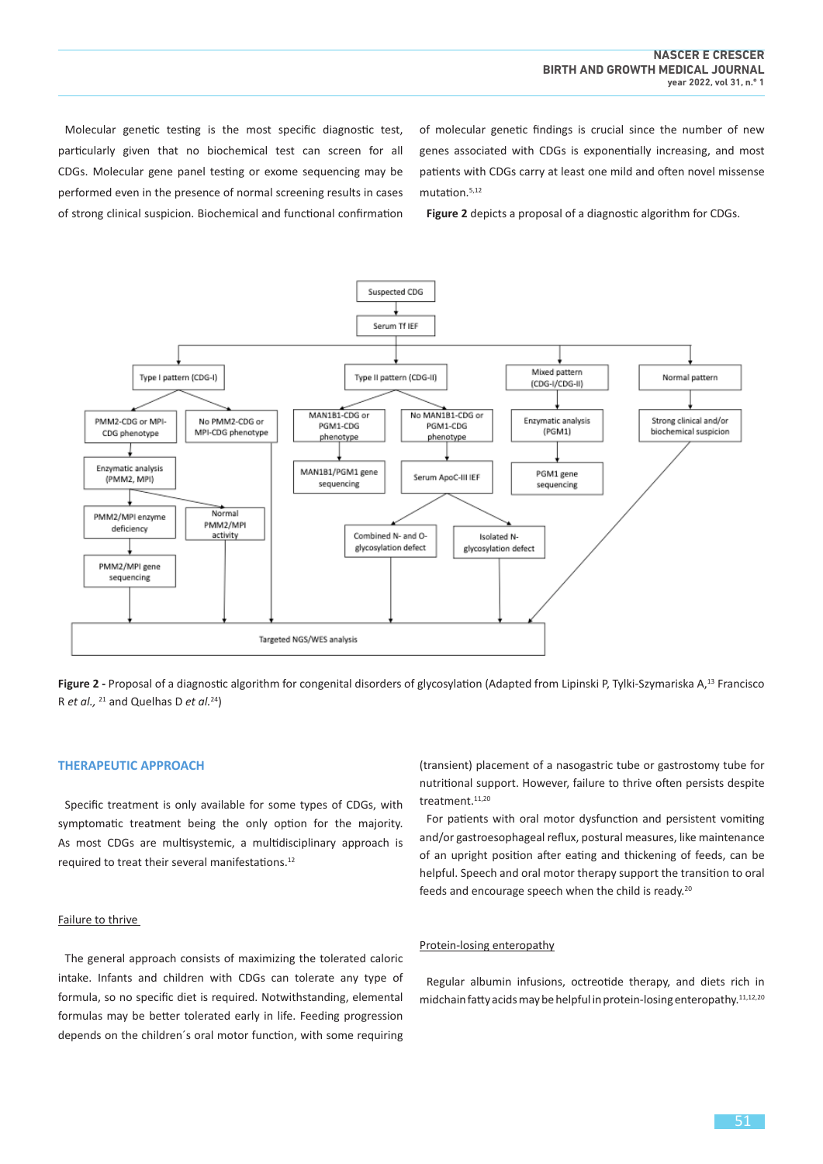Molecular genetic testing is the most specific diagnostic test, particularly given that no biochemical test can screen for all CDGs. Molecular gene panel testing or exome sequencing may be performed even in the presence of normal screening results in cases of strong clinical suspicion. Biochemical and functional confirmation of molecular genetic findings is crucial since the number of new genes associated with CDGs is exponentially increasing, and most patients with CDGs carry at least one mild and often novel missense mutation.5,12

**Figure 2** depicts a proposal of a diagnostic algorithm for CDGs.



Figure 2 - Proposal of a diagnostic algorithm for congenital disorders of glycosylation (Adapted from Lipinski P, Tylki-Szymariska A,<sup>13</sup> Francisco R *et al.,* <sup>21</sup> and Quelhas D *et al.*<sup>24</sup>)

# **THERAPEUTIC APPROACH**

Specific treatment is only available for some types of CDGs, with symptomatic treatment being the only option for the majority. As most CDGs are multisystemic, a multidisciplinary approach is required to treat their several manifestations.<sup>12</sup>

# Failure to thrive

The general approach consists of maximizing the tolerated caloric intake. Infants and children with CDGs can tolerate any type of formula, so no specific diet is required. Notwithstanding, elemental formulas may be better tolerated early in life. Feeding progression depends on the children´s oral motor function, with some requiring

(transient) placement of a nasogastric tube or gastrostomy tube for nutritional support. However, failure to thrive often persists despite treatment.<sup>11,20</sup>

For patients with oral motor dysfunction and persistent vomiting and/or gastroesophageal reflux, postural measures, like maintenance of an upright position after eating and thickening of feeds, can be helpful. Speech and oral motor therapy support the transition to oral feeds and encourage speech when the child is ready.<sup>20</sup>

# Protein-losing enteropathy

Regular albumin infusions, octreotide therapy, and diets rich in midchain fatty acids may be helpful in protein-losing enteropathy.<sup>11,12,20</sup>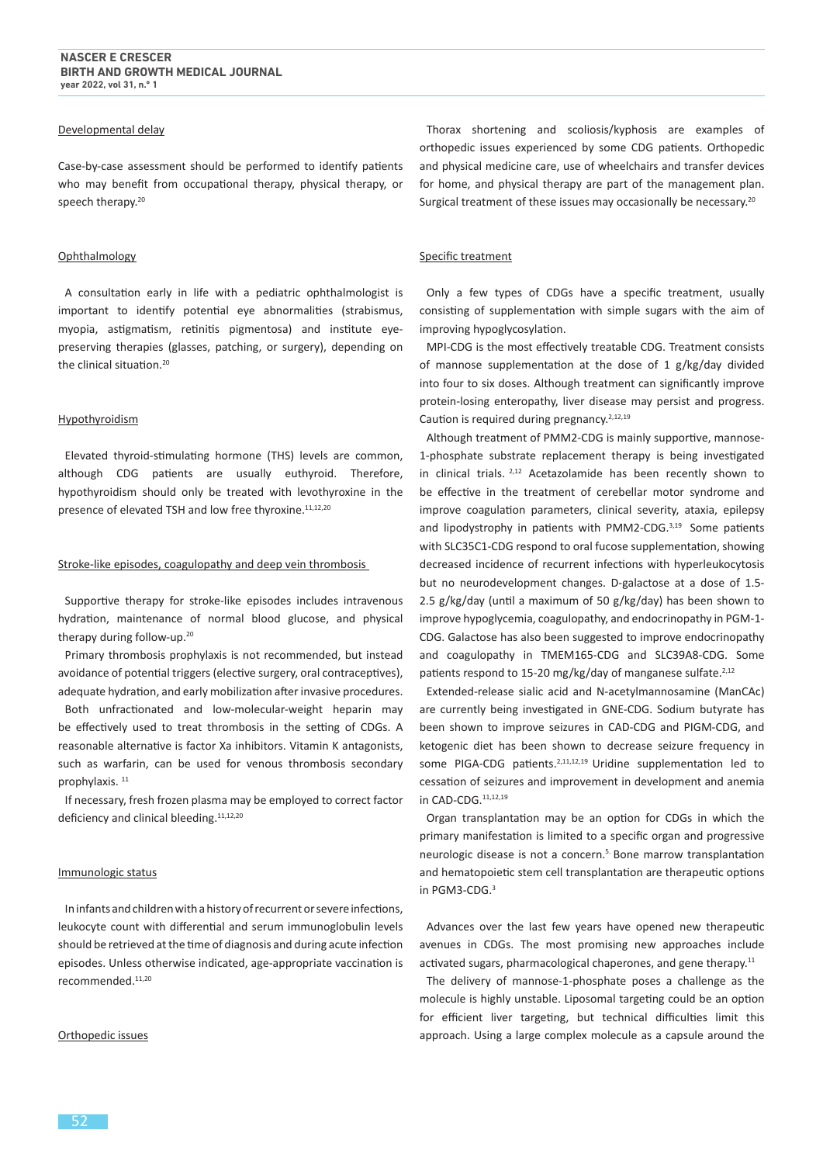#### Developmental delay

Case-by-case assessment should be performed to identify patients who may benefit from occupational therapy, physical therapy, or speech therapy.<sup>20</sup>

#### Ophthalmology

A consultation early in life with a pediatric ophthalmologist is important to identify potential eye abnormalities (strabismus, myopia, astigmatism, retinitis pigmentosa) and institute eyepreserving therapies (glasses, patching, or surgery), depending on the clinical situation.<sup>20</sup>

#### Hypothyroidism

Elevated thyroid-stimulating hormone (THS) levels are common, although CDG patients are usually euthyroid. Therefore, hypothyroidism should only be treated with levothyroxine in the presence of elevated TSH and low free thyroxine.<sup>11,12,20</sup>

#### Stroke-like episodes, coagulopathy and deep vein thrombosis

Supportive therapy for stroke-like episodes includes intravenous hydration, maintenance of normal blood glucose, and physical therapy during follow-up.<sup>20</sup>

Primary thrombosis prophylaxis is not recommended, but instead avoidance of potential triggers (elective surgery, oral contraceptives), adequate hydration, and early mobilization after invasive procedures.

Both unfractionated and low-molecular-weight heparin may be effectively used to treat thrombosis in the setting of CDGs. A reasonable alternative is factor Xa inhibitors. Vitamin K antagonists, such as warfarin, can be used for venous thrombosis secondary prophylaxis.<sup>11</sup>

If necessary, fresh frozen plasma may be employed to correct factor deficiency and clinical bleeding.<sup>11,12,20</sup>

# Immunologic status

In infants and children with a history of recurrent or severe infections, leukocyte count with differential and serum immunoglobulin levels should be retrieved at the time of diagnosis and during acute infection episodes. Unless otherwise indicated, age-appropriate vaccination is recommended.<sup>11,20</sup>

#### Orthopedic issues

Thorax shortening and scoliosis/kyphosis are examples of orthopedic issues experienced by some CDG patients. Orthopedic and physical medicine care, use of wheelchairs and transfer devices for home, and physical therapy are part of the management plan. Surgical treatment of these issues may occasionally be necessary.<sup>20</sup>

# Specific treatment

Only a few types of CDGs have a specific treatment, usually consisting of supplementation with simple sugars with the aim of improving hypoglycosylation.

MPI-CDG is the most effectively treatable CDG. Treatment consists of mannose supplementation at the dose of 1 g/kg/day divided into four to six doses. Although treatment can significantly improve protein-losing enteropathy, liver disease may persist and progress. Caution is required during pregnancy.<sup>2,12,19</sup>

Although treatment of PMM2-CDG is mainly supportive, mannose-1-phosphate substrate replacement therapy is being investigated in clinical trials.  $2,12$  Acetazolamide has been recently shown to be effective in the treatment of cerebellar motor syndrome and improve coagulation parameters, clinical severity, ataxia, epilepsy and lipodystrophy in patients with PMM2-CDG.<sup>3,19</sup> Some patients with SLC35C1-CDG respond to oral fucose supplementation, showing decreased incidence of recurrent infections with hyperleukocytosis but no neurodevelopment changes. D-galactose at a dose of 1.5- 2.5 g/kg/day (until a maximum of 50 g/kg/day) has been shown to improve hypoglycemia, coagulopathy, and endocrinopathy in PGM-1- CDG. Galactose has also been suggested to improve endocrinopathy and coagulopathy in TMEM165-CDG and SLC39A8-CDG. Some patients respond to 15-20 mg/kg/day of manganese sulfate.<sup>2,12</sup>

Extended-release sialic acid and N-acetylmannosamine (ManCAc) are currently being investigated in GNE-CDG. Sodium butyrate has been shown to improve seizures in CAD-CDG and PIGM-CDG, and ketogenic diet has been shown to decrease seizure frequency in some PIGA-CDG patients.<sup>2,11,12,19</sup> Uridine supplementation led to cessation of seizures and improvement in development and anemia in CAD-CDG.11,12,19

Organ transplantation may be an option for CDGs in which the primary manifestation is limited to a specific organ and progressive neurologic disease is not a concern.<sup>5.</sup> Bone marrow transplantation and hematopoietic stem cell transplantation are therapeutic options in PGM3-CDG.<sup>3</sup>

Advances over the last few years have opened new therapeutic avenues in CDGs. The most promising new approaches include activated sugars, pharmacological chaperones, and gene therapy.<sup>11</sup>

The delivery of mannose-1-phosphate poses a challenge as the molecule is highly unstable. Liposomal targeting could be an option for efficient liver targeting, but technical difficulties limit this approach. Using a large complex molecule as a capsule around the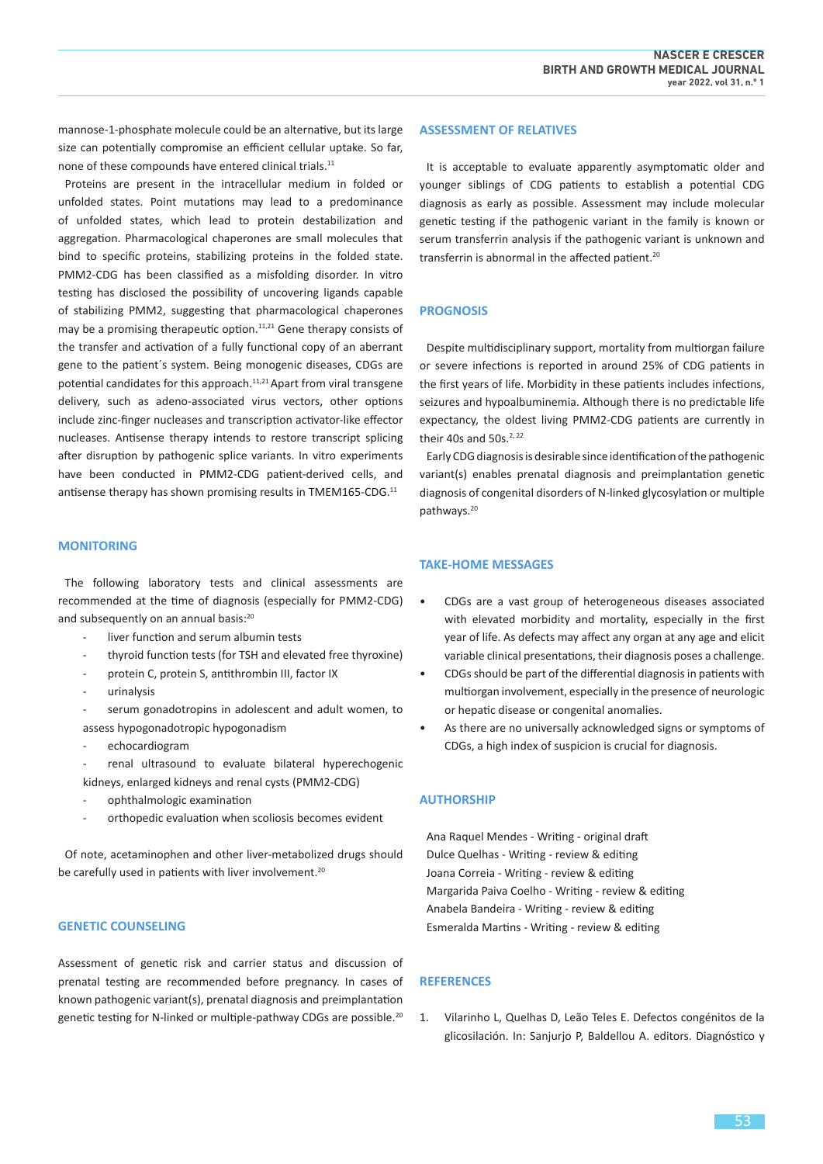mannose-1-phosphate molecule could be an alternative, but its large size can potentially compromise an efficient cellular uptake. So far, none of these compounds have entered clinical trials.<sup>11</sup>

Proteins are present in the intracellular medium in folded or unfolded states. Point mutations may lead to a predominance of unfolded states, which lead to protein destabilization and aggregation. Pharmacological chaperones are small molecules that bind to specific proteins, stabilizing proteins in the folded state. PMM2-CDG has been classified as a misfolding disorder. In vitro testing has disclosed the possibility of uncovering ligands capable of stabilizing PMM2, suggesting that pharmacological chaperones may be a promising therapeutic option.<sup>11,21</sup> Gene therapy consists of the transfer and activation of a fully functional copy of an aberrant gene to the patient´s system. Being monogenic diseases, CDGs are potential candidates for this approach.<sup>11,21</sup> Apart from viral transgene delivery, such as adeno-associated virus vectors, other options include zinc-finger nucleases and transcription activator-like effector nucleases. Antisense therapy intends to restore transcript splicing after disruption by pathogenic splice variants. In vitro experiments have been conducted in PMM2-CDG patient-derived cells, and antisense therapy has shown promising results in TMEM165-CDG.<sup>11</sup>

#### **MONITORING**

The following laboratory tests and clinical assessments are recommended at the time of diagnosis (especially for PMM2-CDG) and subsequently on an annual basis:<sup>20</sup>

- liver function and serum albumin tests
- thyroid function tests (for TSH and elevated free thyroxine)
- protein C, protein S, antithrombin III, factor IX
- urinalysis

serum gonadotropins in adolescent and adult women, to assess hypogonadotropic hypogonadism

echocardiogram

renal ultrasound to evaluate bilateral hyperechogenic kidneys, enlarged kidneys and renal cysts (PMM2-CDG)

- ophthalmologic examination
- orthopedic evaluation when scoliosis becomes evident

Of note, acetaminophen and other liver-metabolized drugs should be carefully used in patients with liver involvement.<sup>20</sup>

#### **GENETIC COUNSELING**

Assessment of genetic risk and carrier status and discussion of prenatal testing are recommended before pregnancy. In cases of known pathogenic variant(s), prenatal diagnosis and preimplantation genetic testing for N-linked or multiple-pathway CDGs are possible.<sup>20</sup>

#### **ASSESSMENT OF RELATIVES**

It is acceptable to evaluate apparently asymptomatic older and younger siblings of CDG patients to establish a potential CDG diagnosis as early as possible. Assessment may include molecular genetic testing if the pathogenic variant in the family is known or serum transferrin analysis if the pathogenic variant is unknown and transferrin is abnormal in the affected patient.<sup>20</sup>

# **PROGNOSIS**

Despite multidisciplinary support, mortality from multiorgan failure or severe infections is reported in around 25% of CDG patients in the first years of life. Morbidity in these patients includes infections, seizures and hypoalbuminemia. Although there is no predictable life expectancy, the oldest living PMM2-CDG patients are currently in their 40s and 50s.<sup>2, 22</sup>

Early CDG diagnosis is desirable since identification of the pathogenic variant(s) enables prenatal diagnosis and preimplantation genetic diagnosis of congenital disorders of N-linked glycosylation or multiple pathways.<sup>20</sup>

# **TAKE-HOME MESSAGES**

- CDGs are a vast group of heterogeneous diseases associated with elevated morbidity and mortality, especially in the first year of life. As defects may affect any organ at any age and elicit variable clinical presentations, their diagnosis poses a challenge.
- CDGs should be part of the differential diagnosis in patients with multiorgan involvement, especially in the presence of neurologic or hepatic disease or congenital anomalies.
- As there are no universally acknowledged signs or symptoms of CDGs, a high index of suspicion is crucial for diagnosis.

# **AUTHORSHIP**

Ana Raquel Mendes - Writing - original draft Dulce Quelhas - Writing - review & editing Joana Correia - Writing - review & editing Margarida Paiva Coelho - Writing - review & editing Anabela Bandeira - Writing - review & editing Esmeralda Martins - Writing - review & editing

# **REFERENCES**

1. Vilarinho L, Quelhas D, Leão Teles E. Defectos congénitos de la glicosilación. In: Sanjurjo P, Baldellou A. editors. Diagnóstico y